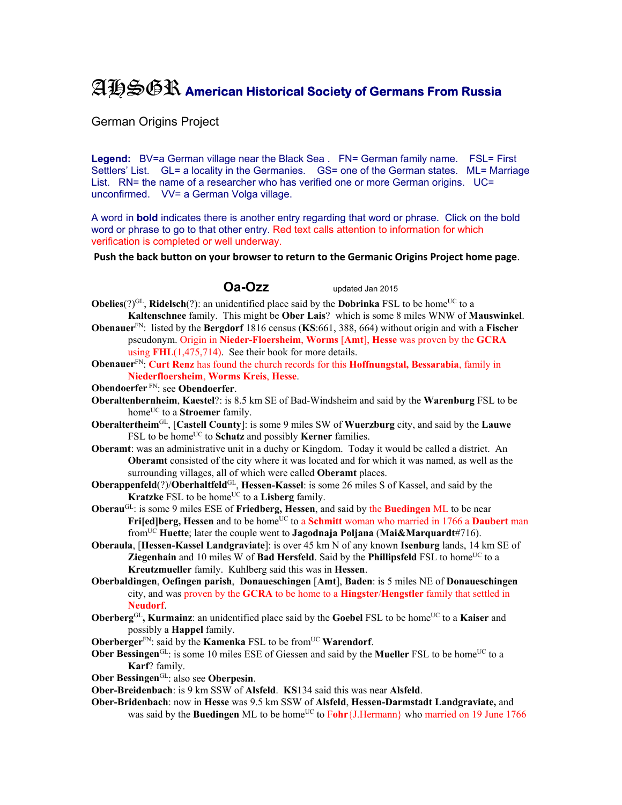## AHSGR **American Historical Society of Germans From Russia**

German Origins Project

**Legend:** BV=a German village near the Black Sea . FN= German family name. FSL= First Settlers' List. GL= a locality in the Germanies. GS= one of the German states. ML= Marriage List. RN= the name of a researcher who has verified one or more German origins. UC= unconfirmed. VV= a German Volga village.

A word in **bold** indicates there is another entry regarding that word or phrase. Click on the bold word or phrase to go to that other entry. Red text calls attention to information for which verification is completed or well underway.

**Push the back button on your browser to return to the Germanic Origins Project home page**.

**Oa-Ozz** updated Jan 2015

- **Obelies**( $?$ )<sup>GL</sup>, **Ridelsch**(?): an unidentified place said by the **Dobrinka** FSL to be home<sup>UC</sup> to a
- **Kaltenschnee** family. This might be **Ober Lais**? which is some 8 miles WNW of **Mauswinkel**. **Obenauer**FN: listed by the **Bergdorf** 1816 census (**KS**:661, 388, 664) without origin and with a **Fischer** pseudonym. Origin in **Nieder-Floersheim**, **Worms** [**Amt**], **Hesse** was proven by the **GCRA** using **FHL**(1,475,714). See their book for more details.
- **Obenauer**FN: **Curt Renz** has found the church records for this **Hoffnungstal, Bessarabia**, family in **Niederfloersheim**, **Worms Kreis**, **Hesse**.
- **Obendoerfer** FN: see **Obendoerfer**.
- **Oberaltenbernheim**, **Kaestel**?: is 8.5 km SE of Bad-Windsheim and said by the **Warenburg** FSL to be home<sup>UC</sup> to a **Stroemer** family.
- **Oberaltertheim**GL, [**Castell County**]: is some 9 miles SW of **Wuerzburg** city, and said by the **Lauwe** FSL to be home<sup>UC</sup> to **Schatz** and possibly **Kerner** families.
- **Oberamt**: was an administrative unit in a duchy or Kingdom. Today it would be called a district. An **Oberamt** consisted of the city where it was located and for which it was named, as well as the surrounding villages, all of which were called **Oberamt** places.
- **Oberappenfeld**(?)/**Oberhaltfeld**<sup>GL</sup>, **Hessen-Kassel**: is some 26 miles S of Kassel, and said by the **Kratzke** FSL to be home<sup>UC</sup> to a **Lisberg** family.
- **Oberau**GL: is some 9 miles ESE of **Friedberg, Hessen**, and said by the **Buedingen** ML to be near **Frijed]berg, Hessen** and to be home<sup>UC</sup> to a **Schmitt** woman who married in 1766 a **Daubert** man fromUC **Huette**; later the couple went to **Jagodnaja Poljana** (**Mai&Marquardt**#716).
- **Oberaula**, [**Hessen-Kassel Landgraviate**]: is over 45 km N of any known **Isenburg** lands, 14 km SE of **Ziegenhain** and 10 miles W of **Bad Hersfeld**. Said by the **Phillipsfeld** FSL to home<sup>UC</sup> to a **Kreutzmueller** family. Kuhlberg said this was in **Hessen**.
- **Oberbaldingen**, **Oefingen parish**, **Donaueschingen** [**Amt**], **Baden**: is 5 miles NE of **Donaueschingen** city, and was proven by the **GCRA** to be home to a **Hingster**/**Hengstler** family that settled in **Neudorf**.
- **Oberberg**<sup>GL</sup>, **Kurmainz**: an unidentified place said by the **Goebel** FSL to be home<sup>UC</sup> to a **Kaiser** and possibly a **Happel** family.
- **Oberberger**<sup>FN</sup>: said by the **Kamenka** FSL to be from<sup>UC</sup> **Warendorf**.
- **Ober Bessingen**<sup>GL</sup>: is some 10 miles ESE of Giessen and said by the **Mueller** FSL to be home<sup>UC</sup> to a **Karf**? family.
- **Ober Bessingen**GL: also see **Oberpesin**.
- **Ober-Breidenbach**: is 9 km SSW of **Alsfeld**. **KS**134 said this was near **Alsfeld**.
- **Ober-Bridenbach**: now in **Hesse** was 9.5 km SSW of **Alsfeld**, **Hessen-Darmstadt Landgraviate,** and was said by the **Buedingen** ML to be home<sup>UC</sup> to Fohr {J.Hermann} who married on 19 June 1766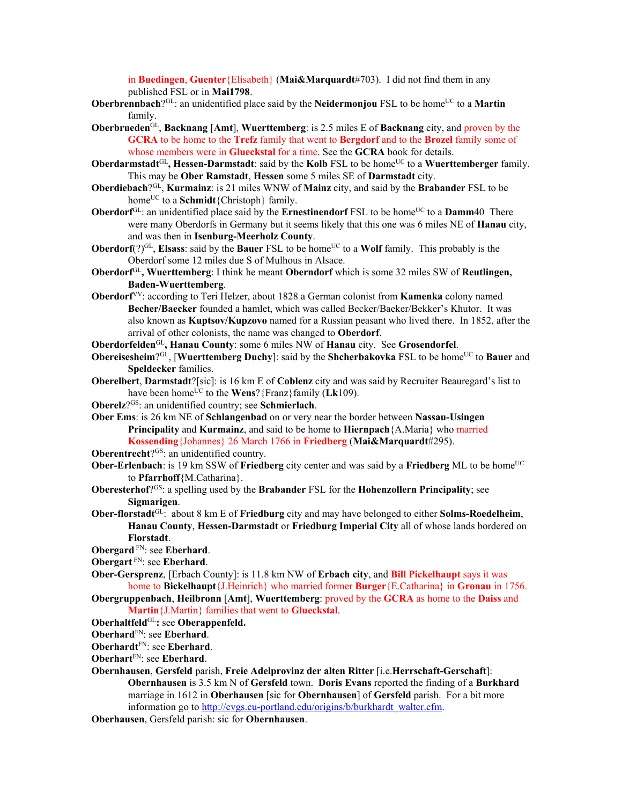in **Buedingen**, **Guenter**{Elisabeth} (**Mai&Marquardt**#703). I did not find them in any published FSL or in **Mai1798**.

- **Oberbrennbach**?<sup>GL</sup>: an unidentified place said by the **Neidermonjou** FSL to be home<sup>UC</sup> to a **Martin** family.
- **Oberbrueden**GL, **Backnang** [**Amt**], **Wuerttemberg**: is 2.5 miles E of **Backnang** city, and proven by the **GCRA** to be home to the **Trefz** family that went to **Bergdorf** and to the **Brozel** family some of whose members were in **Glueckstal** for a time. See the **GCRA** book for details.
- **Oberdarmstadt**<sup>GL</sup>, **Hessen-Darmstadt**: said by the **Kolb** FSL to be home<sup>UC</sup> to a Wuerttemberger family. This may be **Ober Ramstadt**, **Hessen** some 5 miles SE of **Darmstadt** city.
- **Oberdiebach**?GL, **Kurmainz**: is 21 miles WNW of **Mainz** city, and said by the **Brabander** FSL to be home<sup>UC</sup> to a **Schmidt**{Christoph} family.
- **Oberdorf**<sup>GL</sup>: an unidentified place said by the **Ernestinendorf** FSL to be home<sup>UC</sup> to a **Damm**40 There were many Oberdorfs in Germany but it seems likely that this one was 6 miles NE of **Hanau** city, and was then in **Isenburg-Meerholz County**.
- **Oberdorf**(?)<sup>GL</sup>, **Elsass**: said by the **Bauer** FSL to be home<sup>UC</sup> to a **Wolf** family. This probably is the Oberdorf some 12 miles due S of Mulhous in Alsace.
- **Oberdorf**GL**, Wuerttemberg**: I think he meant **Oberndorf** which is some 32 miles SW of **Reutlingen, Baden-Wuerttemberg**.
- **Oberdorf**VV: according to Teri Helzer, about 1828 a German colonist from **Kamenka** colony named **Becher/Baecker** founded a hamlet, which was called Becker/Baeker/Bekker's Khutor. It was also known as **Kuptsov/Kupzovo** named for a Russian peasant who lived there. In 1852, after the arrival of other colonists, the name was changed to **Oberdorf**.

**Oberdorfelden**GL**, Hanau County**: some 6 miles NW of **Hanau** city. See **Grosendorfel**.

- **Obereisesheim**?GL, [Wuerttemberg Duchy]: said by the **Shcherbakovka** FSL to be home<sup>UC</sup> to **Bauer** and **Speldecker** families.
- **Oberelbert**, **Darmstadt**?[sic]: is 16 km E of **Coblenz** city and was said by Recruiter Beauregard's list to have been home<sup>UC</sup> to the **Wens**? {Franz} family ( $Lk109$ ).
- **Oberelz**?GS: an unidentified country; see **Schmierlach**.

**Ober Ems**: is 26 km NE of **Schlangenbad** on or very near the border between **Nassau-Usingen Principality** and **Kurmainz**, and said to be home to **Hiernpach**{A.Maria} who married **Kossending**{Johannes} 26 March 1766 in **Friedberg** (**Mai&Marquardt**#295).

**Oberentrecht**?<sup>GS</sup>: an unidentified country.

- **Ober-Erlenbach**: is 19 km SSW of **Friedberg** city center and was said by a **Friedberg** ML to be home<sup>UC</sup> to **Pfarrhoff**{M.Catharina}.
- **Oberesterhof**?GS: a spelling used by the **Brabander** FSL for the **Hohenzollern Principality**; see **Sigmarigen**.
- **Ober-florstadt**GL: about 8 km E of **Friedburg** city and may have belonged to either **Solms-Roedelheim**, **Hanau County**, **Hessen-Darmstadt** or **Friedburg Imperial City** all of whose lands bordered on **Florstadt**.
- **Obergard** FN: see **Eberhard**.
- **Obergart** FN: see **Eberhard**.
- **Ober-Gersprenz**, [Erbach County]: is 11.8 km NW of **Erbach city**, and **Bill Pickelhaupt** says it was home to **Bickelhaupt**{J.Heinrich} who married former **Burger**{E.Catharina} in **Gronau** in 1756.

**Obergruppenbach**, **Heilbronn** [**Amt**], **Wuerttemberg**: proved by the **GCRA** as home to the **Daiss** and **Martin**{J.Martin} families that went to **Glueckstal**.

- **Oberhaltfeld**GL**:** see **Oberappenfeld.**
- **Oberhard**FN: see **Eberhard**.
- **Oberhardt**FN: see **Eberhard**.
- **Oberhart**FN: see **Eberhard**.
- **Obernhausen**, **Gersfeld** parish, **Freie Adelprovinz der alten Ritter** [i.e.**Herrschaft-Gerschaft**]: **Obernhausen** is 3.5 km N of **Gersfeld** town. **Doris Evans** reported the finding of a **Burkhard** marriage in 1612 in **Oberhausen** [sic for **Obernhausen**] of **Gersfeld** parish. For a bit more information go to http://cvgs.cu-portland.edu/origins/b/burkhardt\_walter.cfm.

**Oberhausen**, Gersfeld parish: sic for **Obernhausen**.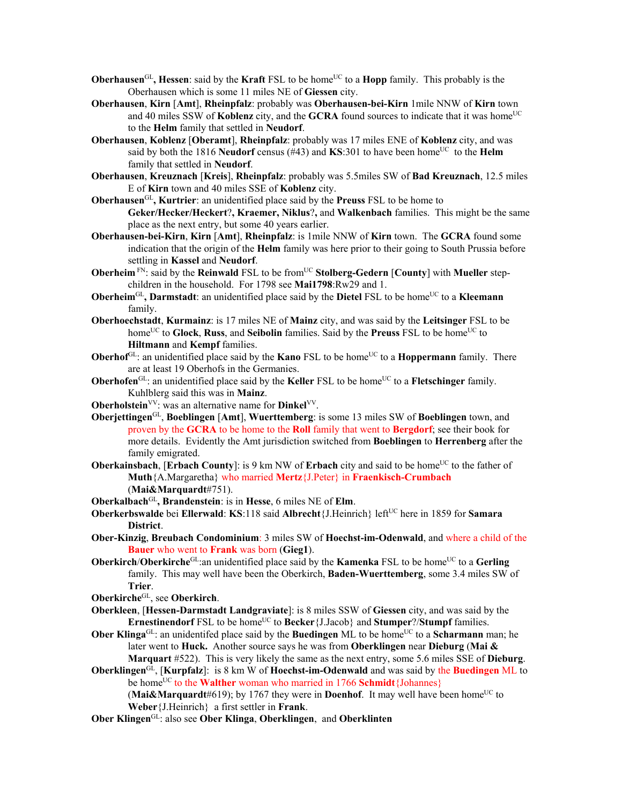- **Oberhausen**<sup>GL</sup>, **Hessen**: said by the **Kraft** FSL to be home<sup>UC</sup> to a **Hopp** family. This probably is the Oberhausen which is some 11 miles NE of **Giessen** city.
- **Oberhausen**, **Kirn** [**Amt**], **Rheinpfalz**: probably was **Oberhausen-bei-Kirn** 1mile NNW of **Kirn** town and 40 miles SSW of **Koblenz** city, and the **GCRA** found sources to indicate that it was home<sup>UC</sup> to the **Helm** family that settled in **Neudorf**.
- **Oberhausen**, **Koblenz** [**Oberamt**], **Rheinpfalz**: probably was 17 miles ENE of **Koblenz** city, and was said by both the 1816 **Neudorf** census ( $#43$ ) and **KS**:301 to have been home<sup>UC</sup> to the **Helm** family that settled in **Neudorf**.
- **Oberhausen**, **Kreuznach** [**Kreis**], **Rheinpfalz**: probably was 5.5miles SW of **Bad Kreuznach**, 12.5 miles E of **Kirn** town and 40 miles SSE of **Koblenz** city.
- **Oberhausen**GL**, Kurtrier**: an unidentified place said by the **Preuss** FSL to be home to **Geker/Hecker/Heckert**?**, Kraemer, Niklus**?**,** and **Walkenbach** families. This might be the same place as the next entry, but some 40 years earlier.
- **Oberhausen-bei-Kirn**, **Kirn** [**Amt**], **Rheinpfalz**: is 1mile NNW of **Kirn** town. The **GCRA** found some indication that the origin of the **Helm** family was here prior to their going to South Prussia before settling in **Kassel** and **Neudorf**.
- **Oberheim**<sup>FN</sup>: said by the **Reinwald** FSL to be from<sup>UC</sup> Stolberg-Gedern [County] with Mueller stepchildren in the household. For 1798 see **Mai1798**:Rw29 and 1.
- **Oberheim**<sup>GL</sup>, **Darmstadt**: an unidentified place said by the **Dietel** FSL to be home<sup>UC</sup> to a **Kleemann** family.
- **Oberhoechstadt**, **Kurmainz**: is 17 miles NE of **Mainz** city, and was said by the **Leitsinger** FSL to be home<sup>UC</sup> to Glock, Russ, and Seibolin families. Said by the Preuss FSL to be home<sup>UC</sup> to **Hiltmann** and **Kempf** families.
- **Oberhof**<sup>GL</sup>: an unidentified place said by the **Kano** FSL to be home<sup>UC</sup> to a **Hoppermann** family. There are at least 19 Oberhofs in the Germanies.
- **Oberhofen**<sup>GL</sup>: an unidentified place said by the **Keller** FSL to be home<sup>UC</sup> to a **Fletschinger** family. Kuhlblerg said this was in **Mainz**.
- **Oberholstein**<sup>VV</sup>: was an alternative name for **Dinkel**<sup>VV</sup>.
- **Oberjettingen**GL, **Boeblingen** [**Amt**], **Wuerttemberg**: is some 13 miles SW of **Boeblingen** town, and proven by the **GCRA** to be home to the **Roll** family that went to **Bergdorf**; see their book for more details. Evidently the Amt jurisdiction switched from **Boeblingen** to **Herrenberg** after the family emigrated.
- **Oberkainsbach, [Erbach County]:** is 9 km NW of **Erbach** city and said to be home<sup>UC</sup> to the father of **Muth**{A.Margaretha} who married **Mertz**{J.Peter} in **Fraenkisch-Crumbach**  (**Mai&Marquardt**#751).
- **Oberkalbach**GL**, Brandenstein**: is in **Hesse**, 6 miles NE of **Elm**.
- **Oberkerbswalde** bei **Ellerwald**: **KS**:118 said **Albrecht**{J.Heinrich} leftUC here in 1859 for **Samara District**.
- **Ober-Kinzig**, **Breubach Condominium**: 3 miles SW of **Hoechst-im-Odenwald**, and where a child of the **Bauer** who went to **Frank** was born (**Gieg1**).
- **Oberkirch/Oberkirche**<sup>GL</sup>:an unidentified place said by the **Kamenka** FSL to be home<sup>UC</sup> to a **Gerling** family. This may well have been the Oberkirch, **Baden-Wuerttemberg**, some 3.4 miles SW of **Trier**.
- **Oberkirche**GL, see **Oberkirch**.
- **Oberkleen**, [**Hessen-Darmstadt Landgraviate**]: is 8 miles SSW of **Giessen** city, and was said by the **Ernestinendorf** FSL to be home<sup>UC</sup> to **Becker**{J.Jacob} and **Stumper**?/**Stumpf** families.
- **Ober Klinga**<sup>GL</sup>: an unidentifed place said by the **Buedingen** ML to be home<sup>UC</sup> to a **Scharmann** man; he later went to **Huck.** Another source says he was from **Oberklingen** near **Dieburg** (**Mai & Marquart** #522). This is very likely the same as the next entry, some 5.6 miles SSE of **Dieburg**.
- **Oberklingen**GL, [**Kurpfalz**]: is 8 km W of **Hoechst-im-Odenwald** and was said by the **Buedingen** ML to be home<sup>UC</sup> to the **Walther** woman who married in 1766 **Schmidt**{Johannes}

**(Mai&Marquardt**#619); by 1767 they were in **Doenhof**. It may well have been home<sup>UC</sup> to **Weber**{J.Heinrich} a first settler in **Frank**.

**Ober Klingen**GL: also see **Ober Klinga**, **Oberklingen**, and **Oberklinten**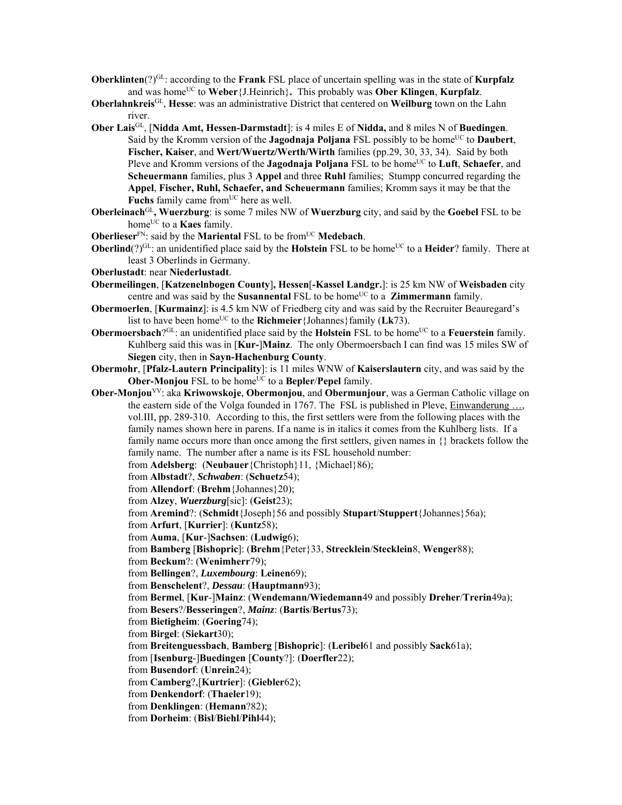- **Oberklinten**(?)<sup>GL</sup>: according to the **Frank** FSL place of uncertain spelling was in the state of **Kurpfalz** and was homeUC to **Weber**{J.Heinrich}**.** This probably was **Ober Klingen**, **Kurpfalz**.
- **Oberlahnkreis**GL, **Hesse**: was an administrative District that centered on **Weilburg** town on the Lahn river.
- **Ober Lais**GL, [**Nidda Amt, Hessen-Darmstadt**]: is 4 miles E of **Nidda,** and 8 miles N of **Buedingen**. Said by the Kromm version of the **Jagodnaja Poljana** FSL possibly to be home<sup>UC</sup> to **Daubert**, **Fischer, Kaiser**, and **Wert/Wuertz/Werth/Wirth** families (pp.29, 30, 33, 34). Said by both Pleve and Kromm versions of the **Jagodnaja Poljana** FSL to be home<sup>UC</sup> to **Luft**, **Schaefer**, and **Scheuermann** families, plus 3 **Appel** and three **Ruhl** families; Stumpp concurred regarding the **Appel**, **Fischer, Ruhl, Schaefer, and Scheuermann** families; Kromm says it may be that the Fuchs family came from<sup>UC</sup> here as well.
- **Oberleinach**GL**, Wuerzburg**: is some 7 miles NW of **Wuerzburg** city, and said by the **Goebel** FSL to be home<sup>UC</sup> to a **Kaes** family.
- **Oberlieser**<sup>FN</sup>: said by the **Mariental** FSL to be from<sup>UC</sup> **Medebach**.
- **Oberlind**(?)<sup>GL</sup>: an unidentified place said by the **Holstein** FSL to be home<sup>UC</sup> to a **Heider**? family. There at least 3 Oberlinds in Germany.
- **Oberlustadt**: near **Niederlustadt**.
- **Obermeilingen**, [**Katzenelnbogen County**]**, Hessen**[**-Kassel Landgr.**]: is 25 km NW of **Weisbaden** city centre and was said by the **Susannental** FSL to be home<sup>UC</sup> to a **Zimmermann** family.
- **Obermoerlen**, [**Kurmainz**]: is 4.5 km NW of Friedberg city and was said by the Recruiter Beauregard's list to have been home<sup>UC</sup> to the **Richmeier** {Johannes} family ( $Lk73$ ).
- **Obermoersbach**?<sup>GL</sup>: an unidentified place said by the **Holstein** FSL to be home<sup>UC</sup> to a **Feuerstein** family. Kuhlberg said this was in [**Kur-**]**Mainz**. The only Obermoersbach I can find was 15 miles SW of **Siegen** city, then in **Sayn-Hachenburg County**.
- **Obermohr**, [**Pfalz-Lautern Principality**]: is 11 miles WNW of **Kaiserslautern** city, and was said by the **Ober-Monjou** FSL to be home<sup>UC</sup> to a **Bepler**/**Pepel** family.
- **Ober-Monjou**VV: aka **Kriwowskoje**, **Obermonjou**, and **Obermunjour**, was a German Catholic village on the eastern side of the Volga founded in 1767. The FSL is published in Pleve, Einwanderung …, vol.III, pp. 289-310. According to this, the first settlers were from the following places with the family names shown here in parens. If a name is in italics it comes from the Kuhlberg lists. If a family name occurs more than once among the first settlers, given names in {} brackets follow the family name. The number after a name is its FSL household number:
	- from **Adelsberg**: (**Neubauer**{Christoph}11, {Michael}86);
	- from **Albstadt**?, *Schwaben*: (**Schuetz**54);
	- from **Allendorf**: (**Brehm**{Johannes}20);
	- from **Alzey**, *Wuerzburg*[sic]: (**Geist**23);
	- from **Aremind**?: (**Schmidt**{Joseph}56 and possibly **Stupart**/**Stuppert**{Johannes}56a);
	- from **Arfurt**, [**Kurrier**]: (**Kuntz**58);
	- from **Auma**, [**Kur**-]**Sachsen**: (**Ludwig**6);
	- from **Bamberg** [**Bishopric**]: (**Brehm**{Peter}33, **Strecklein**/**Stecklein**8, **Wenger**88);
	- from **Beckum**?: (**Wenimherr**79);
	- from **Bellingen**?, *Luxembourg*: **Leinen**69);
	- from **Benschelent**?, *Dessau*: (**Hauptmann**93);
	- from **Bermel**, [**Kur**-]**Mainz**: (**Wendemann/Wiedemann**49 and possibly **Dreher**/**Trerin**49a);
	- from **Besers**?/**Besseringen**?, *Mainz*: (**Bartis**/**Bertus**73);
	- from **Bietigheim**: (**Goering**74);
	- from **Birgel**: (**Siekart**30);
	- from **Breitenguessbach**, **Bamberg** [**Bishopric**]: (**Leribel**61 and possibly **Sack**61a);
	- from [**Isenburg**-]**Buedingen** [**County**?]: (**Doerfler**22);
	- from **Busendorf**: (**Unrein**24);
	- from **Camberg**?,[**Kurtrier**]: (**Giebler**62);
	- from **Denkendorf**: (**Thaeler**19);
	- from **Denklingen**: (**Hemann**?82);
	- from **Dorheim**: (**Bisl**/**Biehl**/**Pihl**44);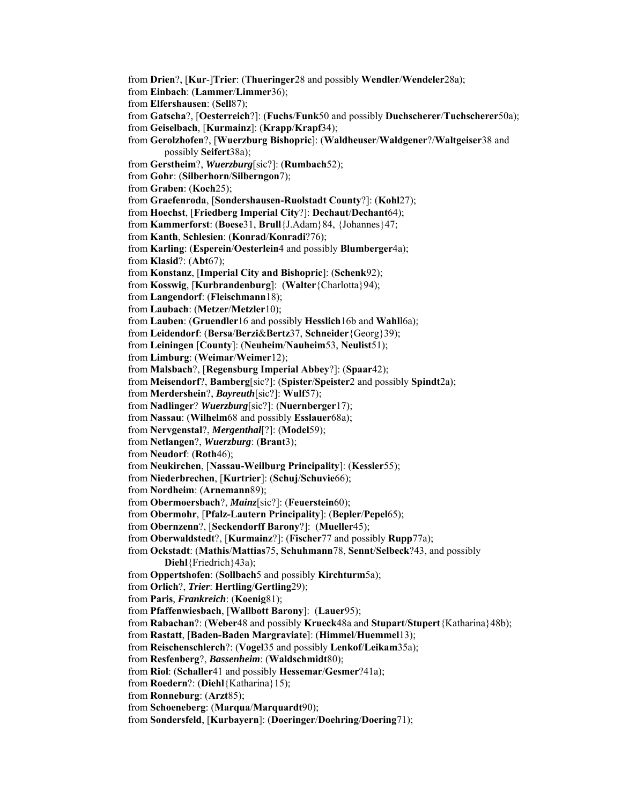from **Drien**?, [**Kur**-]**Trier**: (**Thueringer**28 and possibly **Wendler**/**Wendeler**28a); from **Einbach**: (**Lammer**/**Limmer**36); from **Elfershausen**: (**Sell**87); from **Gatscha**?, [**Oesterreich**?]: (**Fuchs**/**Funk**50 and possibly **Duchscherer**/**Tuchscherer**50a); from **Geiselbach**, [**Kurmainz**]: (**Krapp**/**Krapf**34); from **Gerolzhofen**?, [**Wuerzburg Bishopric**]: (**Waldheuser**/**Waldgener**?/**Waltgeiser**38 and possibly **Seifert**38a); from **Gerstheim**?, *Wuerzburg*[sic?]: (**Rumbach**52); from **Gohr**: (**Silberhorn**/**Silberngon**7); from **Graben**: (**Koch**25); from **Graefenroda**, [**Sondershausen-Ruolstadt County**?]: (**Kohl**27); from **Hoechst**, [**Friedberg Imperial City**?]: **Dechaut**/**Dechant**64); from **Kammerforst**: (**Boese**31, **Brull**{J.Adam}84, {Johannes}47; from **Kanth**, **Schlesien**: (**Konrad**/**Konradi**?76); from **Karling**: (**Esperein**/**Oesterlein**4 and possibly **Blumberger**4a); from **Klasid**?: (**Abt**67); from **Konstanz**, [**Imperial City and Bishopric**]: (**Schenk**92); from **Kosswig**, [**Kurbrandenburg**]: (**Walter**{Charlotta}94); from **Langendorf**: (**Fleischmann**18); from **Laubach**: (**Metzer**/**Metzler**10); from **Lauben**: (**Gruendler**16 and possibly **Hesslich**16b and **Wahl**l6a); from **Leidendorf**: (**Bersa**/**Berzi**&**Bertz**37, **Schneider**{Georg}39); from **Leiningen** [**County**]: (**Neuheim**/**Nauheim**53, **Neulist**51); from **Limburg**: (**Weimar**/**Weimer**12); from **Malsbach**?, [**Regensburg Imperial Abbey**?]: (**Spaar**42); from **Meisendorf**?, **Bamberg**[sic?]: (**Spister**/**Speister**2 and possibly **Spindt**2a); from **Merdershein**?, *Bayreuth*[sic?]: **Wulf**57); from **Nadlinger**? *Wuerzburg*[sic?]: (**Nuernberger**17); from **Nassau**: (**Wilhelm**68 and possibly **Esslauer**68a); from **Nervgenstal**?, *Mergenthal*[?]: (**Model**59); from **Netlangen**?, *Wuerzburg*: (**Brant**3); from **Neudorf**: (**Roth**46); from **Neukirchen**, [**Nassau-Weilburg Principality**]: (**Kessler**55); from **Niederbrechen**, [**Kurtrier**]: (**Schuj**/**Schuvie**66); from **Nordheim**: (**Arnemann**89); from **Obermoersbach**?, *Mainz*[sic?]: (**Feuerstein**60); from **Obermohr**, [**Pfalz-Lautern Principality**]: (**Bepler**/**Pepel**65); from **Obernzenn**?, [**Seckendorff Barony**?]: (**Mueller**45); from **Oberwaldstedt**?, [**Kurmainz**?]: (**Fischer**77 and possibly **Rupp**77a); from **Ockstadt**: (**Mathis**/**Mattias**75, **Schuhmann**78, **Sennt**/**Selbeck**?43, and possibly **Diehl**{Friedrich}43a); from **Oppertshofen**: (**Sollbach**5 and possibly **Kirchturm**5a); from **Orlich**?, *Trier*: **Hertling**/**Gertling**29); from **Paris**, *Frankreich*: (**Koenig**81); from **Pfaffenwiesbach**, [**Wallbott Barony**]: (**Lauer**95); from **Rabachan**?: (**Weber**48 and possibly **Krueck**48a and **Stupart**/**Stupert**{Katharina}48b); from **Rastatt**, [**Baden-Baden Margraviate**]: (**Himmel**/**Huemmel**13); from **Reischenschlerch**?: (**Vogel**35 and possibly **Lenkof**/**Leikam**35a); from **Resfenberg**?, *Bassenheim*: (**Waldschmidt**80); from **Riol**: (**Schaller**41 and possibly **Hessemar**/**Gesmer**?41a); from **Roedern**?: (**Diehl**{Katharina}15); from **Ronneburg**: (**Arzt**85); from **Schoeneberg**: (**Marqua**/**Marquardt**90); from **Sondersfeld**, [**Kurbayern**]: (**Doeringer**/**Doehring**/**Doering**71);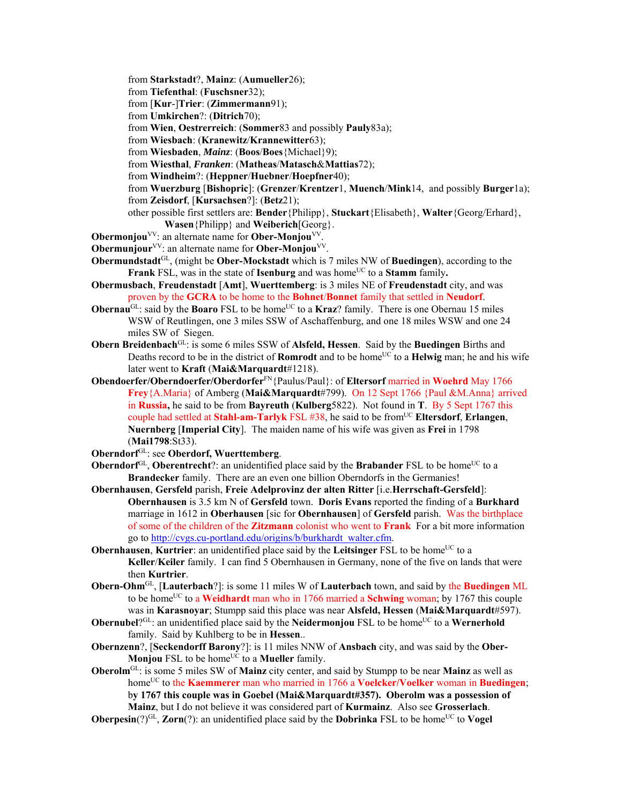from **Starkstadt**?, **Mainz**: (**Aumueller**26);

from **Tiefenthal**: (**Fuschsner**32);

from [**Kur**-]**Trier**: (**Zimmermann**91);

from **Umkirchen**?: (**Ditrich**70);

from **Wien**, **Oestrerreich**: (**Sommer**83 and possibly **Pauly**83a);

- from **Wiesbach**: (**Kranewitz**/**Krannewitter**63);
- from **Wiesbaden**, *Mainz*: (**Boos**/**Boes**{Michael}9);
- from **Wiesthal**, *Franken*: (**Matheas**/**Matasch**&**Mattias**72);
- from **Windheim**?: (**Heppner**/**Huebner**/**Hoepfner**40);
- from **Wuerzburg** [**Bishopric**]: (**Grenzer**/**Krentzer**1, **Muench**/**Mink**14, and possibly **Burger**1a); from **Zeisdorf**, [**Kursachsen**?]: (**Betz**21);
- other possible first settlers are: **Bender**{Philipp}, **Stuckart**{Elisabeth}, **Walter**{Georg/Erhard}, **Wasen**{Philipp} and **Weiberich**[Georg}.
- **Obermonjou**<sup>VV</sup>: an alternate name for **Ober-Monjou**<sup>VV</sup>.
- **Obermunjour**<sup>VV</sup>: an alternate name for **Ober-Monjou**<sup>VV</sup>.
- **Obermundstadt**GL, (might be **Ober-Mockstadt** which is 7 miles NW of **Buedingen**), according to the **Frank** FSL, was in the state of **Isenburg** and was home<sup>UC</sup> to a **Stamm** family.
- **Obermusbach**, **Freudenstadt** [**Amt**], **Wuerttemberg**: is 3 miles NE of **Freudenstadt** city, and was proven by the **GCRA** to be home to the **Bohnet**/**Bonnet** family that settled in **Neudorf**.
- **Obernau<sup>GL</sup>:** said by the **Boaro** FSL to be home<sup>UC</sup> to a **Kraz**? family. There is one Obernau 15 miles WSW of Reutlingen, one 3 miles SSW of Aschaffenburg, and one 18 miles WSW and one 24 miles SW of Siegen.
- **Obern Breidenbach**GL: is some 6 miles SSW of **Alsfeld, Hessen**. Said by the **Buedingen** Births and Deaths record to be in the district of **Romrodt** and to be home<sup>UC</sup> to a **Helwig** man; he and his wife later went to **Kraft** (**Mai&Marquardt**#1218).
- **Obendoerfer/Oberndoerfer/Oberdorfer**FN{Paulus/Paul}: of **Eltersorf** married in **Woehrd** May 1766 **Frey**{A.Maria} of Amberg (**Mai&Marquardt**#799). On 12 Sept 1766 {Paul &M.Anna} arrived in **Russia,** he said to be from **Bayreuth** (**Kulberg**5822). Not found in **T**.By 5 Sept 1767 this couple had settled at **Stahl-am-Tarlyk** FSL #38, he said to be fromUC **Eltersdorf**, **Erlangen**, **Nuernberg** [**Imperial City**]. The maiden name of his wife was given as **Frei** in 1798 (**Mai1798**:St33).
- **Oberndorf**GL: see **Oberdorf, Wuerttemberg**.
- **Oberndorf**<sup>GL</sup>, **Oberentrecht**?: an unidentified place said by the **Brabander** FSL to be home<sup>UC</sup> to a **Brandecker** family. There are an even one billion Oberndorfs in the Germanies!
- **Obernhausen**, **Gersfeld** parish, **Freie Adelprovinz der alten Ritter** [i.e.**Herrschaft-Gersfeld**]: **Obernhausen** is 3.5 km N of **Gersfeld** town. **Doris Evans** reported the finding of a **Burkhard** marriage in 1612 in **Oberhausen** [sic for **Obernhausen**] of **Gersfeld** parish. Was the birthplace of some of the children of the **Zitzmann** colonist who went to **Frank** For a bit more information go to http://cvgs.cu-portland.edu/origins/b/burkhardt\_walter.cfm.
- **Obernhausen, Kurtrier**: an unidentified place said by the Leitsinger FSL to be home<sup>UC</sup> to a **Keller**/**Keiler** family. I can find 5 Obernhausen in Germany, none of the five on lands that were then **Kurtrier**.
- **Obern-Ohm**GL, [**Lauterbach**?]: is some 11 miles W of **Lauterbach** town, and said by the **Buedingen** ML to be home<sup>UC</sup> to a **Weidhardt** man who in 1766 married a **Schwing** woman; by 1767 this couple was in **Karasnoyar**; Stumpp said this place was near **Alsfeld, Hessen** (**Mai&Marquardt**#597).
- **Obernubel**?<sup>GL</sup>: an unidentified place said by the **Neidermonjou** FSL to be home<sup>UC</sup> to a **Wernerhold** family. Said by Kuhlberg to be in **Hessen**..
- **Obernzenn**?, [**Seckendorff Barony**?]: is 11 miles NNW of **Ansbach** city, and was said by the **Ober-Monjou** FSL to be home<sup>UC</sup> to a **Mueller** family.
- **Oberolm**GL: is some 5 miles SW of **Mainz** city center, and said by Stumpp to be near **Mainz** as well as home<sup>UC</sup> to the **Kaemmerer** man who married in 1766 a **Voelcker/Voelker** woman in **Buedingen**; b**y 1767 this couple was in Goebel (Mai&Marquardt#357). Oberolm was a possession of Mainz**, but I do not believe it was considered part of **Kurmainz**. Also see **Grosserlach**.
- **Oberpesin**(?)<sup>GL</sup>, **Zorn**(?): an unidentified place said by the **Dobrinka** FSL to be home<sup>UC</sup> to **Vogel**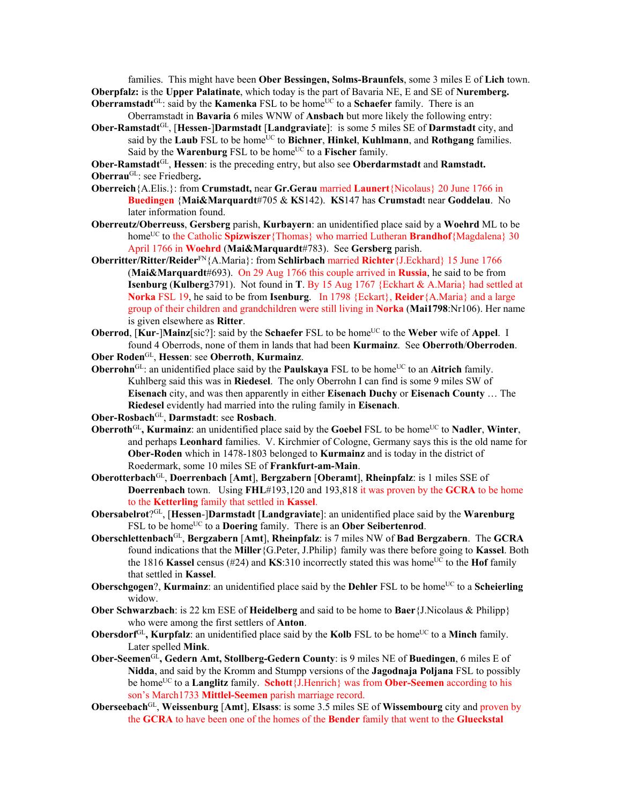families. This might have been **Ober Bessingen, Solms-Braunfels**, some 3 miles E of **Lich** town. **Oberpfalz:** is the **Upper Palatinate**, which today is the part of Bavaria NE, E and SE of **Nuremberg. Oberramstadt**<sup>GL</sup>: said by the **Kamenka** FSL to be home<sup>UC</sup> to a **Schaefer** family. There is an

Oberramstadt in **Bavaria** 6 miles WNW of **Ansbach** but more likely the following entry:

**Ober-Ramstadt**GL, [**Hessen**-]**Darmstadt** [**Landgraviate**]: is some 5 miles SE of **Darmstadt** city, and said by the **Laub** FSL to be home<sup>UC</sup> to **Bichner**, **Hinkel**, **Kuhlmann**, and **Rothgang** families. Said by the **Warenburg** FSL to be home<sup>UC</sup> to a **Fischer** family.

**Ober-Ramstadt**GL, **Hessen**: is the preceding entry, but also see **Oberdarmstadt** and **Ramstadt. Oberrau**GL: see Friedberg**.** 

- **Oberreich**{A.Elis.}: from **Crumstadt,** near **Gr.Gerau** married **Launert**{Nicolaus} 20 June 1766 in **Buedingen** {**Mai&Marquardt**#705 & **KS**142). **KS**147 has **Crumstad**t near **Goddelau**. No later information found.
- **Oberreutz/Oberreuss**, **Gersberg** parish, **Kurbayern**: an unidentified place said by a **Woehrd** ML to be home<sup>UC</sup> to the Catholic **Spizwiszer**{Thomas} who married Lutheran **Brandhof**{Magdalena} 30 April 1766 in **Woehrd** (**Mai&Marquardt**#783). See **Gersberg** parish.
- **Oberritter/Ritter/Reider**FN{A.Maria}: from **Schlirbach** married **Richter**{J.Eckhard} 15 June 1766 (**Mai&Marquardt**#693). On 29 Aug 1766 this couple arrived in **Russia**, he said to be from **Isenburg** (**Kulberg**3791). Not found in **T**. By 15 Aug 1767 {Eckhart & A.Maria} had settled at **Norka** FSL 19, he said to be from **Isenburg**. In 1798 {Eckart}, **Reider**{A.Maria} and a large group of their children and grandchildren were still living in **Norka** (**Mai1798**:Nr106). Her name is given elsewhere as **Ritter**.
- **Oberrod, [Kur-]Mainz**[sic?]: said by the **Schaefer** FSL to be home<sup>UC</sup> to the **Weber** wife of **Appel**. I found 4 Oberrods, none of them in lands that had been **Kurmainz**. See **Oberroth**/**Oberroden**.
- **Ober Roden**GL, **Hessen**: see **Oberroth**, **Kurmainz**.
- **Oberrohn**<sup>GL</sup>: an unidentified place said by the **Paulskaya** FSL to be home<sup>UC</sup> to an **Aitrich** family. Kuhlberg said this was in **Riedesel**. The only Oberrohn I can find is some 9 miles SW of **Eisenach** city, and was then apparently in either **Eisenach Duchy** or **Eisenach County** … The **Riedesel** evidently had married into the ruling family in **Eisenach**.
- **Ober-Rosbach**GL, **Darmstadt**: see **Rosbach**.
- **Oberroth**<sup>GL</sup>, **Kurmainz**: an unidentified place said by the **Goebel** FSL to be home<sup>UC</sup> to **Nadler**, **Winter**, and perhaps **Leonhard** families. V. Kirchmier of Cologne, Germany says this is the old name for **Ober-Roden** which in 1478-1803 belonged to **Kurmainz** and is today in the district of Roedermark, some 10 miles SE of **Frankfurt-am-Main**.
- **Oberotterbach**GL, **Doerrenbach** [**Amt**], **Bergzabern** [**Oberamt**], **Rheinpfalz**: is 1 miles SSE of **Doerrenbach** town. Using **FHL**#193,120 and 193,818 it was proven by the **GCRA** to be home to the **Ketterling** family that settled in **Kassel**.
- **Obersabelrot**?GL, [**Hessen**-]**Darmstadt** [**Landgraviate**]: an unidentified place said by the **Warenburg** FSL to be home<sup>UC</sup> to a **Doering** family. There is an **Ober Seibertenrod**.
- **Oberschlettenbach**GL, **Bergzabern** [**Amt**], **Rheinpfalz**: is 7 miles NW of **Bad Bergzabern**. The **GCRA** found indications that the **Miller**{G.Peter, J.Philip} family was there before going to **Kassel**. Both the 1816 **Kassel** census (#24) and **KS**:310 incorrectly stated this was home<sup>UC</sup> to the **Hof** family that settled in **Kassel**.
- **Oberschgogen**?, **Kurmainz**: an unidentified place said by the **Dehler** FSL to be home<sup>UC</sup> to a **Scheierling** widow.
- **Ober Schwarzbach**: is 22 km ESE of **Heidelberg** and said to be home to **Baer**{J.Nicolaus & Philipp} who were among the first settlers of **Anton**.
- **Obersdorf**<sup>GL</sup>, **Kurpfalz**: an unidentified place said by the **Kolb** FSL to be home<sup>UC</sup> to a **Minch** family. Later spelled **Mink**.
- **Ober-Seemen<sup>GL</sup>, Gedern Amt, Stollberg-Gedern County:** is 9 miles NE of **Buedingen**, 6 miles E of **Nidda**, and said by the Kromm and Stumpp versions of the **Jagodnaja Poljana** FSL to possibly be homeUC to a **Langlitz** family. **Schott**{J.Henrich} was from **Ober-Seemen** according to his son's March1733 **Mittlel-Seemen** parish marriage record.
- **Oberseebach**GL, **Weissenburg** [**Amt**], **Elsass**: is some 3.5 miles SE of **Wissembourg** city and proven by the **GCRA** to have been one of the homes of the **Bender** family that went to the **Glueckstal**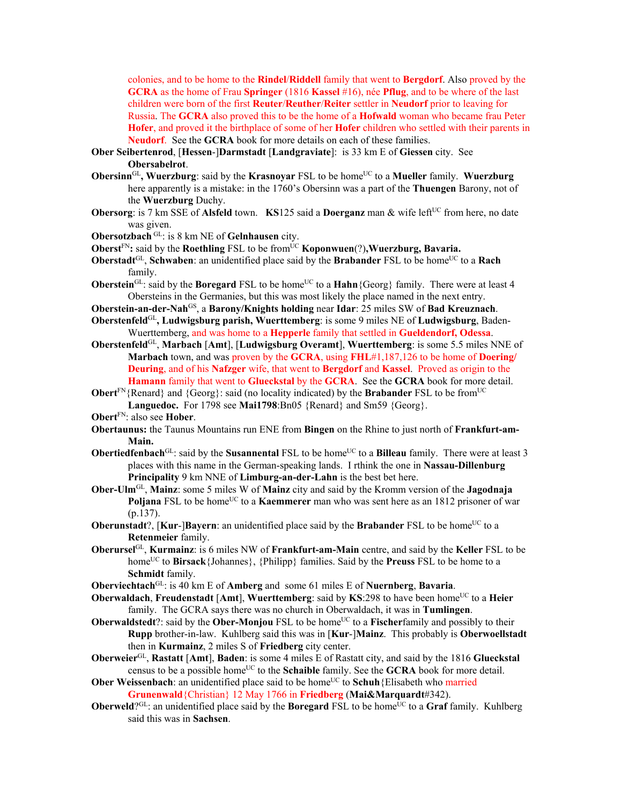colonies, and to be home to the **Rindel**/**Riddell** family that went to **Bergdorf**. Also proved by the **GCRA** as the home of Frau **Springer** (1816 **Kassel** #16), née **Pflug**, and to be where of the last children were born of the first **Reuter**/**Reuther**/**Reiter** settler in **Neudorf** prior to leaving for Russia. The **GCRA** also proved this to be the home of a **Hofwald** woman who became frau Peter **Hofer**, and proved it the birthplace of some of her **Hofer** children who settled with their parents in **Neudorf**. See the **GCRA** book for more details on each of these families.

- **Ober Seibertenrod**, [**Hessen**-]**Darmstadt** [**Landgraviate**]: is 33 km E of **Giessen** city. See **Obersabelrot**.
- **Obersinn**<sup>GL</sup>, Wuerzburg: said by the **Krasnoyar** FSL to be home<sup>UC</sup> to a Mueller family. Wuerzburg here apparently is a mistake: in the 1760's Obersinn was a part of the **Thuengen** Barony, not of the **Wuerzburg** Duchy.
- **Obersorg**: is 7 km SSE of **Alsfeld** town. **KS**125 said a **Doerganz** man & wife left<sup>UC</sup> from here, no date was given.
- **Obersotzbach** GL: is 8 km NE of **Gelnhausen** city.
- **Oberst**<sup>FN</sup>: said by the **Roethling** FSL to be from<sup>UC</sup> **Koponwuen**(?), **Wuerzburg**, Bavaria.
- **Oberstadt**<sup>GL</sup>, **Schwaben**: an unidentified place said by the **Brabander** FSL to be home<sup>UC</sup> to a **Rach** family.
- **Oberstein**<sup>GL</sup>: said by the **Boregard** FSL to be home<sup>UC</sup> to a **Hahn**{Georg} family. There were at least 4 Obersteins in the Germanies, but this was most likely the place named in the next entry.
- **Oberstein-an-der-Nah**GS, a **Barony/Knights holding** near **Idar**: 25 miles SW of **Bad Kreuznach**.
- **Oberstenfeld**GL**, Ludwigsburg parish, Wuerttemberg**: is some 9 miles NE of **Ludwigsburg**, Baden-Wuerttemberg, and was home to a **Hepperle** family that settled in **Gueldendorf, Odessa**.
- **Oberstenfeld**GL, **Marbach** [**Amt**], [**Ludwigsburg Overamt**], **Wuerttemberg**: is some 5.5 miles NNE of **Marbach** town, and was proven by the **GCRA**, using **FHL**#1,187,126 to be home of **Doering/ Deuring**, and of his **Nafzger** wife, that went to **Bergdorf** and **Kassel**. Proved as origin to the **Hamann** family that went to **Glueckstal** by the **GCRA**. See the **GCRA** book for more detail.
- **Obert**<sup>FN</sup>{Renard} and {Georg}: said (no locality indicated) by the **Brabander** FSL to be from<sup>UC</sup> **Languedoc.** For 1798 see **Mai1798**:Bn05 {Renard} and Sm59 {Georg}.
- **Obert**FN: also see **Hober**.
- **Obertaunus:** the Taunus Mountains run ENE from **Bingen** on the Rhine to just north of **Frankfurt-am-Main.**
- **Obertiedfenbach**<sup>GL</sup>: said by the **Susannental** FSL to be home<sup>UC</sup> to a **Billeau** family. There were at least 3 places with this name in the German-speaking lands. I rthink the one in **Nassau-Dillenburg Principality** 9 km NNE of **Limburg-an-der-Lahn** is the best bet here.
- **Ober-Ulm**GL, **Mainz**: some 5 miles W of **Mainz** city and said by the Kromm version of the **Jagodnaja Poljana** FSL to be home<sup>UC</sup> to a **Kaemmerer** man who was sent here as an 1812 prisoner of war (p.137).
- **Oberunstadt**?,  $[Kur-]Bayern$ : an unidentified place said by the **Brabander** FSL to be home<sup>UC</sup> to a **Retenmeier** family.
- **Oberursel**GL, **Kurmainz**: is 6 miles NW of **Frankfurt-am-Main** centre, and said by the **Keller** FSL to be home<sup>UC</sup> to **Birsack**{Johannes}, {Philipp} families. Said by the **Preuss** FSL to be home to a **Schmidt** family.
- **Oberviechtach**GL: is 40 km E of **Amberg** and some 61 miles E of **Nuernberg**, **Bavaria**.
- **Oberwaldach, Freudenstadt** [Amt], **Wuerttemberg**: said by **KS**:298 to have been home<sup>UC</sup> to a Heier family. The GCRA says there was no church in Oberwaldach, it was in **Tumlingen**.
- **Oberwaldstedt**?: said by the **Ober-Monjou** FSL to be home<sup>UC</sup> to a **Fischer**family and possibly to their **Rupp** brother-in-law. Kuhlberg said this was in [**Kur**-]**Mainz**. This probably is **Oberwoellstadt** then in **Kurmainz**, 2 miles S of **Friedberg** city center.
- **Oberweier**GL, **Rastatt** [**Amt**], **Baden**: is some 4 miles E of Rastatt city, and said by the 1816 **Glueckstal** census to be a possible home<sup>UC</sup> to the **Schaible** family. See the **GCRA** book for more detail.
- **Ober Weissenbach**: an unidentified place said to be home<sup>UC</sup> to **Schuh**{Elisabeth who married **Grunenwald**{Christian} 12 May 1766 in **Friedberg** (**Mai&Marquardt**#342).
- **Oberweld**?<sup>GL</sup>: an unidentified place said by the **Boregard** FSL to be home<sup>UC</sup> to a **Graf** family. Kuhlberg said this was in **Sachsen**.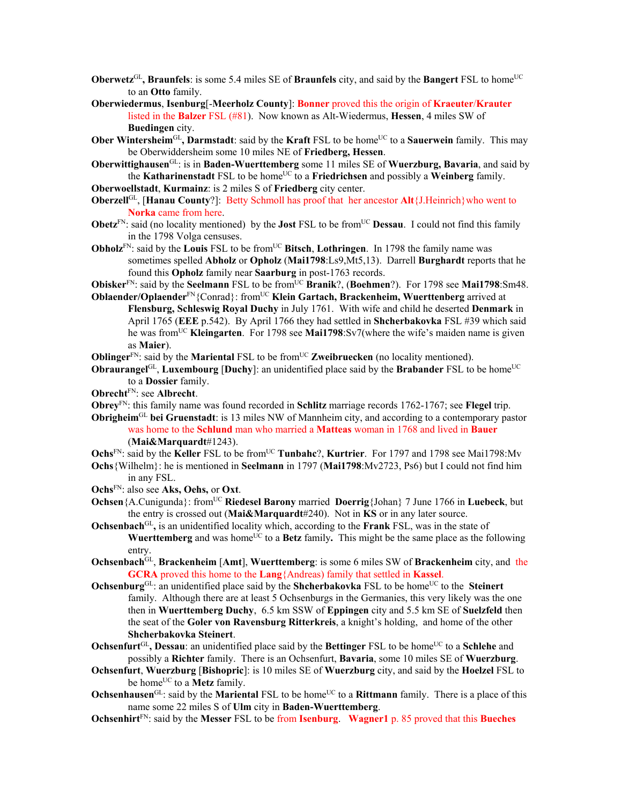- **Oberwetz**<sup>GL</sup>, Braunfels: is some 5.4 miles SE of Braunfels city, and said by the Bangert FSL to home<sup>UC</sup> to an **Otto** family.
- **Oberwiedermus**, **Isenburg**[-**Meerholz County**]: **Bonner** proved this the origin of **Kraeuter**/**Krauter** listed in the **Balzer** FSL (#81). Now known as Alt-Wiedermus, **Hessen**, 4 miles SW of **Buedingen** city.
- **Ober Wintersheim**<sup>GL</sup>, **Darmstadt**: said by the **Kraft** FSL to be home<sup>UC</sup> to a **Sauerwein** family. This may be Oberwiddersheim some 10 miles NE of **Friedberg, Hessen**.
- **Oberwittighausen**GL: is in **Baden-Wuerttemberg** some 11 miles SE of **Wuerzburg, Bavaria**, and said by the **Katharinenstadt** FSL to be home<sup>UC</sup> to a Friedrichsen and possibly a Weinberg family.
- **Oberwoellstadt**, **Kurmainz**: is 2 miles S of **Friedberg** city center.
- **Oberzell**GL, [**Hanau County**?]: Betty Schmoll has proof that her ancestor **Alt**{J.Heinrich}who went to **Norka** came from here.
- **Obetz**<sup>FN</sup>: said (no locality mentioned) by the **Jost** FSL to be from<sup>UC</sup> **Dessau**. I could not find this family in the 1798 Volga censuses.
- **Obholz**<sup>FN</sup>: said by the **Louis** FSL to be from<sup>UC</sup> Bitsch, **Lothringen**. In 1798 the family name was sometimes spelled **Abholz** or **Opholz** (**Mai1798**:Ls9,Mt5,13). Darrell **Burghardt** reports that he found this **Opholz** family near **Saarburg** in post-1763 records.

**Obisker**<sup>FN</sup>: said by the **Seelmann** FSL to be from<sup>UC</sup> **Branik**?, (**Boehmen**?). For 1798 see **Mai1798**:Sm48. **Oblaender/Oplaender**<sup>FN</sup>{Conrad}: from<sup>UC</sup> **Klein Gartach, Brackenheim, Wuerttenberg** arrived at

- **Flensburg, Schleswig Royal Duchy** in July 1761. With wife and child he deserted **Denmark** in April 1765 (**EEE** p.542). By April 1766 they had settled in **Shcherbakovka** FSL #39 which said he was fromUC **Kleingarten**. For 1798 see **Mai1798**:Sv7(where the wife's maiden name is given as **Maier**).
- **Oblinger**<sup>FN</sup>: said by the **Mariental** FSL to be from<sup>UC</sup> **Zweibruecken** (no locality mentioned).

**Obraurangel**GL, **Luxembourg** [Duchy]: an unidentified place said by the Brabander FSL to be home<sup>UC</sup> to a **Dossier** family.

- **Obrecht**FN: see **Albrecht**.
- **Obrey**FN: this family name was found recorded in **Schlitz** marriage records 1762-1767; see **Flegel** trip.
- **Obrigheim**GL **bei Gruenstadt**: is 13 miles NW of Mannheim city, and according to a contemporary pastor was home to the **Schlund** man who married a **Matteas** woman in 1768 and lived in **Bauer**

(**Mai&Marquardt**#1243).

**Ochs**<sup>FN</sup>: said by the **Keller** FSL to be from<sup>UC</sup> **Tunbahc**?, **Kurtrier**. For 1797 and 1798 see Mai1798:Mv

**Ochs**{Wilhelm}: he is mentioned in **Seelmann** in 1797 (**Mai1798**:Mv2723, Ps6) but I could not find him in any FSL.

- **Ochs**FN: also see **Aks, Oehs,** or **Oxt**.
- **Ochsen**{A.Cunigunda}: from<sup>UC</sup> **Riedesel Barony** married **Doerrig**{Johan} 7 June 1766 in **Luebeck**, but the entry is crossed out (**Mai&Marquardt**#240). Not in **KS** or in any later source.
- **Ochsenbach**GL**,** is an unidentified locality which, according to the **Frank** FSL, was in the state of **Wuerttemberg** and was home<sup>UC</sup> to a **Betz** family. This might be the same place as the following entry.
- **Ochsenbach**GL, **Brackenheim** [**Amt**], **Wuerttemberg**: is some 6 miles SW of **Brackenheim** city, and the **GCRA** proved this home to the **Lang**{Andreas) family that settled in **Kassel**.
- **Ochsenburg**<sup>GL</sup>: an unidentified place said by the **Shcherbakovka** FSL to be home<sup>UC</sup> to the **Steinert** family. Although there are at least 5 Ochsenburgs in the Germanies, this very likely was the one then in **Wuerttemberg Duchy**, 6.5 km SSW of **Eppingen** city and 5.5 km SE of **Suelzfeld** then the seat of the **Goler von Ravensburg Ritterkreis**, a knight's holding, and home of the other **Shcherbakovka Steinert**.
- **Ochsenfurt**<sup>GL</sup>, Dessau: an unidentified place said by the Bettinger FSL to be home<sup>UC</sup> to a Schlehe and possibly a **Richter** family. There is an Ochsenfurt, **Bavaria**, some 10 miles SE of **Wuerzburg**.
- **Ochsenfurt**, **Wuerzburg** [**Bishopric**]: is 10 miles SE of **Wuerzburg** city, and said by the **Hoelzel** FSL to be home<sup>UC</sup> to a **Metz** family.
- **Ochsenhausen**<sup>GL</sup>: said by the **Mariental** FSL to be home<sup>UC</sup> to a **Rittmann** family. There is a place of this name some 22 miles S of **Ulm** city in **Baden-Wuerttemberg**.
- **Ochsenhirt**FN: said by the **Messer** FSL to be from **Isenburg**. **Wagner1** p. 85 proved that this **Bueches**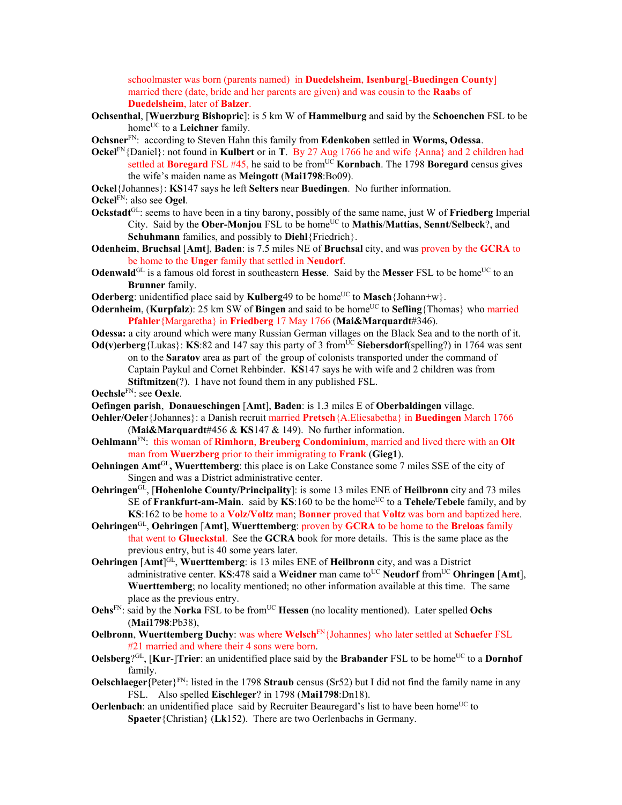schoolmaster was born (parents named) in **Duedelsheim**, **Isenburg**[-**Buedingen County**] married there (date, bride and her parents are given) and was cousin to the **Raab**s of **Duedelsheim**, later of **Balzer**.

- **Ochsenthal**, [**Wuerzburg Bishopric**]: is 5 km W of **Hammelburg** and said by the **Schoenchen** FSL to be home<sup>UC</sup> to a **Leichner** family.
- **Ochsner**FN: according to Steven Hahn this family from **Edenkoben** settled in **Worms, Odessa**.
- **Ockel**FN{Daniel}: not found in **Kulbert** or in **T**. By 27 Aug 1766 he and wife {Anna} and 2 children had settled at **Boregard** FSL #45, he said to be fromUC **Kornbach**. The 1798 **Boregard** census gives the wife's maiden name as **Meingott** (**Mai1798**:Bo09).
- **Ockel**{Johannes}: **KS**147 says he left **Selters** near **Buedingen**. No further information.
- **Ockel**FN: also see **Ogel**.
- **Ockstadt**GL: seems to have been in a tiny barony, possibly of the same name, just W of **Friedberg** Imperial City. Said by the **Ober-Monjou** FSL to be homeUC to **Mathis**/**Mattias**, **Sennt**/**Selbeck**?, and **Schuhmann** families, and possibly to **Diehl**{Friedrich}.
- **Odenheim**, **Bruchsal** [**Amt**], **Baden**: is 7.5 miles NE of **Bruchsal** city, and was proven by the **GCRA** to be home to the **Unger** family that settled in **Neudorf**.
- **Odenwald**<sup>GL</sup> is a famous old forest in southeastern **Hesse**. Said by the **Messer** FSL to be home<sup>UC</sup> to an **Brunner** family.
- **Oderberg**: unidentified place said by **Kulberg**49 to be home<sup>UC</sup> to **Masch**{Johann+w}.
- **Odernheim.** (**Kurpfalz**): 25 km SW of **Bingen** and said to be home<sup>UC</sup> to **Sefling**{Thomas} who married **Pfahler**{Margaretha} in **Friedberg** 17 May 1766 (**Mai&Marquardt**#346).
- **Odessa:** a city around which were many Russian German villages on the Black Sea and to the north of it.
- **Od(v)erberg**{Lukas}: **KS**:82 and 147 say this party of 3 from<sup>UC</sup> Siebersdorf(spelling?) in 1764 was sent on to the **Saratov** area as part of the group of colonists transported under the command of Captain Paykul and Cornet Rehbinder. **KS**147 says he with wife and 2 children was from **Stiftmitzen**(?). I have not found them in any published FSL.
- **Oechsle**FN: see **Oexle**.
- **Oefingen parish**, **Donaueschingen** [**Amt**], **Baden**: is 1.3 miles E of **Oberbaldingen** village.
- **Oehler/Oeler**{Johannes}: a Danish recruit married **Pretsch**{A.Eliesabetha} in **Buedingen** March 1766 (**Mai&Marquardt**#456 & **KS**147 & 149). No further information.
- **Oehlmann**FN: this woman of **Rimhorn**, **Breuberg Condominium**, married and lived there with an **Olt** man from **Wuerzberg** prior to their immigrating to **Frank** (**Gieg1**).
- **Oehningen Amt**GL**, Wuerttemberg**: this place is on Lake Constance some 7 miles SSE of the city of Singen and was a District administrative center.
- **Oehringen**GL, [**Hohenlohe County/Principality**]: is some 13 miles ENE of **Heilbronn** city and 73 miles SE of **Frankfurt-am-Main**. said by **KS**:160 to be the home<sup>UC</sup> to a **Tehele/Tebele** family, and by **KS**:162 to be home to a **Volz/Voltz** man; **Bonner** proved that **Voltz** was born and baptized here.
- **Oehringen**GL, **Oehringen** [**Amt**], **Wuerttemberg**: proven by **GCRA** to be home to the **Breloas** family that went to **Glueckstal**. See the **GCRA** book for more details. This is the same place as the previous entry, but is 40 some years later.
- **Oehringen** [**Amt**] GL, **Wuerttemberg**: is 13 miles ENE of **Heilbronn** city, and was a District administrative center. **KS**:478 said a **Weidner** man came to<sup>UC</sup> **Neudorf** from<sup>UC</sup> **Ohringen** [Amt], **Wuerttemberg**; no locality mentioned; no other information available at this time. The same place as the previous entry.
- **Oehs**<sup>FN:</sup> said by the **Norka** FSL to be from<sup>UC</sup> **Hessen** (no locality mentioned). Later spelled **Ochs** (**Mai1798**:Pb38),
- **Oelbronn**, **Wuerttemberg Duchy**: was where **Welsch**FN{Johannes} who later settled at **Schaefer** FSL #21 married and where their 4 sons were born.
- **Oelsberg**?GL, [Kur-]Trier: an unidentified place said by the Brabander FSL to be home<sup>UC</sup> to a Dornhof family.
- **Oelschlaeger**{Peter}<sup>FN</sup>: listed in the 1798 **Straub** census (Sr52) but I did not find the family name in any FSL. Also spelled **Eischleger**? in 1798 (**Mai1798**:Dn18).
- **Oerlenbach**: an unidentified place said by Recruiter Beauregard's list to have been home<sup>UC</sup> to **Spaeter**{Christian} (**Lk**152). There are two Oerlenbachs in Germany.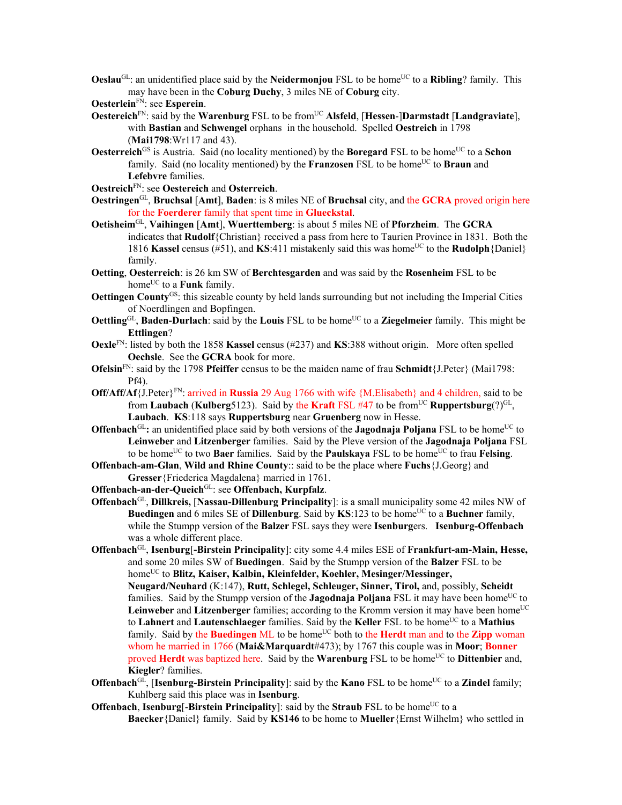**Oeslau**<sup>GL</sup>: an unidentified place said by the **Neidermonjou** FSL to be home<sup>UC</sup> to a **Ribling**? family. This may have been in the **Coburg Duchy**, 3 miles NE of **Coburg** city.

**Oesterlein**FN: see **Esperein**.

- **Oestereich**<sup>FN</sup>: said by the **Warenburg** FSL to be from<sup>UC</sup> Alsfeld, [Hessen-]Darmstadt [Landgraviate], with **Bastian** and **Schwengel** orphans in the household. Spelled **Oestreich** in 1798 (**Mai1798**:Wr117 and 43).
- **Oesterreich**<sup>GS</sup> is Austria. Said (no locality mentioned) by the **Boregard** FSL to be home<sup>UC</sup> to a **Schon** family. Said (no locality mentioned) by the **Franzosen** FSL to be home<sup>UC</sup> to **Braun** and **Lefebvre** families.

**Oestreich**FN: see **Oestereich** and **Osterreich**.

- **Oestringen**GL, **Bruchsal** [**Amt**], **Baden**: is 8 miles NE of **Bruchsal** city, and the **GCRA** proved origin here for the **Foerderer** family that spent time in **Glueckstal**.
- **Oetisheim**GL, **Vaihingen** [**Amt**], **Wuerttemberg**: is about 5 miles NE of **Pforzheim**. The **GCRA** indicates that **Rudolf**{Christian} received a pass from here to Taurien Province in 1831. Both the 1816 **Kassel** census (#51), and **KS**:411 mistakenly said this was home<sup>UC</sup> to the **Rudolph** {Daniel} family.
- **Oetting**, **Oesterreich**: is 26 km SW of **Berchtesgarden** and was said by the **Rosenheim** FSL to be home<sup>UC</sup> to a **Funk** family.
- **Oettingen County**<sup>GS</sup>: this sizeable county by held lands surrounding but not including the Imperial Cities of Noerdlingen and Bopfingen.
- **Oettling**GL, **Baden-Durlach**: said by the **Louis** FSL to be home<sup>UC</sup> to a **Ziegelmeier** family. This might be **Ettlingen**?
- **Oexle**FN: listed by both the 1858 **Kassel** census (#237) and **KS**:388 without origin. More often spelled **Oechsle**. See the **GCRA** book for more.
- **Ofelsin**FN: said by the 1798 **Pfeiffer** census to be the maiden name of frau **Schmidt**{J.Peter} (Mai1798: Pf4).
- **Off/Aff/Af**{J.Peter}FN: arrived in **Russia** 29 Aug 1766 with wife {M.Elisabeth} and 4 children, said to be from **Laubach** (**Kulberg**5123). Said by the **Kraft** FSL #47 to be from<sup>UC</sup> **Ruppertsburg**(?)<sup>GL</sup>, **Laubach**. **KS**:118 says **Ruppertsburg** near **Gruenberg** now in Hesse.
- **Offenbach**<sup>GL</sup>: an unidentified place said by both versions of the **Jagodnaja Poljana** FSL to be home<sup>UC</sup> to **Leinweber** and **Litzenberger** families. Said by the Pleve version of the **Jagodnaja Poljana** FSL to be home<sup>UC</sup> to two **Baer** families. Said by the **Paulskaya** FSL to be home<sup>UC</sup> to frau **Felsing**.

**Offenbach-am-Glan**, **Wild and Rhine County**:: said to be the place where **Fuchs**{J.Georg} and **Gresser**{Friederica Magdalena} married in 1761.

**Offenbach-an-der-Queich**GL: see **Offenbach, Kurpfalz**.

- **Offenbach**GL, **Dillkreis,** [**Nassau-Dillenburg Principality**]: is a small municipality some 42 miles NW of **Buedingen** and 6 miles SE of **Dillenburg**. Said by  $KS:123$  to be home<sup>UC</sup> to a **Buchner** family, while the Stumpp version of the **Balzer** FSL says they were **Isenburg**ers. **Isenburg-Offenbach** was a whole different place.
- **Offenbach**GL, **Isenburg**[**-Birstein Principality**]: city some 4.4 miles ESE of **Frankfurt-am-Main, Hesse,**  and some 20 miles SW of **Buedingen**. Said by the Stumpp version of the **Balzer** FSL to be homeUC to **Blitz, Kaiser, Kalbin, Kleinfelder, Koehler, Mesinger/Messinger, Neugard/Neuhard** (K:147), **Rutt, Schlegel, Schleuger, Sinner, Tirol,** and, possibly, **Scheidt** families. Said by the Stumpp version of the **Jagodnaja Poljana** FSL it may have been home<sup>UC</sup> to **Leinweber** and **Litzenberger** families; according to the Kromm version it may have been home<sup>UC</sup> to **Lahnert** and **Lautenschlaeger** families. Said by the **Keller** FSL to be homeUC to a **Mathius** family. Said by the **Buedingen** ML to be home<sup>UC</sup> both to the **Herdt** man and to the **Zipp** woman whom he married in 1766 (**Mai&Marquardt**#473); by 1767 this couple was in **Moor**; **Bonner** proved **Herdt** was baptized here. Said by the **Warenburg** FSL to be home<sup>UC</sup> to **Dittenbier** and, **Kiegler**? families.
- **Offenbach**<sup>GL</sup>, [Isenburg-Birstein Principality]: said by the **Kano** FSL to be home<sup>UC</sup> to a **Zindel** family; Kuhlberg said this place was in **Isenburg**.
- **Offenbach**, **Isenburg**[-Birstein Principality]: said by the Straub FSL to be home<sup>UC</sup> to a **Baecker**{Daniel} family. Said by **KS146** to be home to **Mueller**{Ernst Wilhelm} who settled in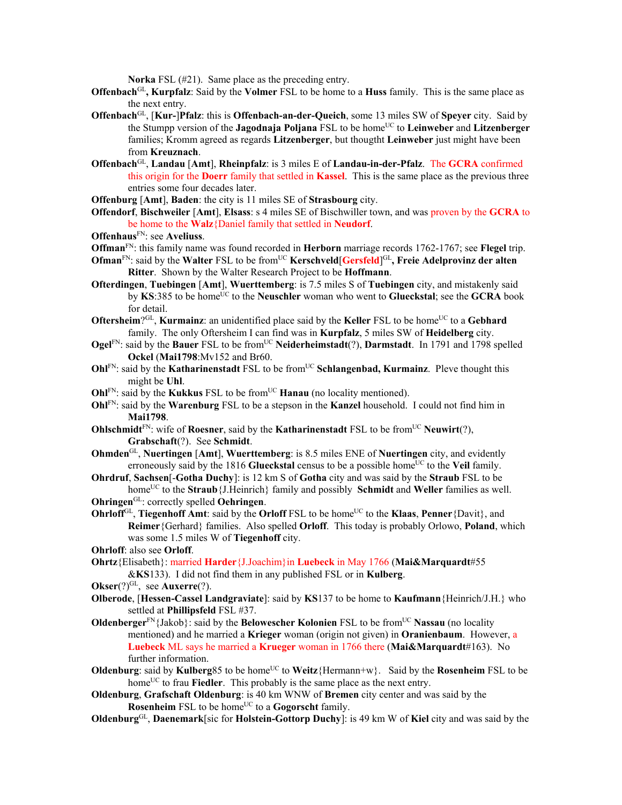**Norka** FSL (#21). Same place as the preceding entry.

- **Offenbach**GL**, Kurpfalz**: Said by the **Volmer** FSL to be home to a **Huss** family. This is the same place as the next entry.
- **Offenbach**GL, [**Kur-**]**Pfalz**: this is **Offenbach-an-der-Queich**, some 13 miles SW of **Speyer** city. Said by the Stumpp version of the **Jagodnaja Poljana** FSL to be homeUC to **Leinweber** and **Litzenberger** families; Kromm agreed as regards **Litzenberger**, but thougtht **Leinweber** just might have been from **Kreuznach**.
- **Offenbach**GL, **Landau** [**Amt**], **Rheinpfalz**: is 3 miles E of **Landau-in-der-Pfalz**. The **GCRA** confirmed this origin for the **Doerr** family that settled in **Kassel**. This is the same place as the previous three entries some four decades later.
- **Offenburg** [**Amt**], **Baden**: the city is 11 miles SE of **Strasbourg** city.
- **Offendorf**, **Bischweiler** [**Amt**], **Elsass**: s 4 miles SE of Bischwiller town, and was proven by the **GCRA** to be home to the **Walz**{Daniel family that settled in **Neudorf**.
- **Offenhaus**FN: see **Aveliuss**.
- **Offman**FN: this family name was found recorded in **Herborn** marriage records 1762-1767; see **Flegel** trip.
- **Ofman**<sup>FN</sup>: said by the Walter FSL to be from<sup>UC</sup> **Kerschveld**[Gersfeld]<sup>GL</sup>, Freie Adelprovinz der alten **Ritter**. Shown by the Walter Research Project to be **Hoffmann**.
- **Ofterdingen**, **Tuebingen** [**Amt**], **Wuerttemberg**: is 7.5 miles S of **Tuebingen** city, and mistakenly said by KS:385 to be home<sup>UC</sup> to the **Neuschler** woman who went to **Glueckstal**; see the **GCRA** book for detail.
- **Oftersheim**?<sup>GL</sup>, **Kurmainz**: an unidentified place said by the **Keller** FSL to be home<sup>UC</sup> to a **Gebhard** family. The only Oftersheim I can find was in **Kurpfalz**, 5 miles SW of **Heidelberg** city.
- **Ogel**FN: said by the **Bauer** FSL to be fromUC **Neiderheimstadt**(?), **Darmstadt**.In 1791 and 1798 spelled **Ockel** (**Mai1798**:Mv152 and Br60.
- **OhlFN:** said by the **Katharinenstadt** FSL to be from<sup>UC</sup> Schlangenbad, Kurmainz. Pleve thought this might be **Uhl**.
- **Ohl**FN: said by the **Kukkus** FSL to be from<sup>UC</sup> **Hanau** (no locality mentioned).
- **Ohl**FN: said by the **Warenburg** FSL to be a stepson in the **Kanzel** household. I could not find him in **Mai1798**.
- **Ohlschmidt**<sup>FN</sup>: wife of **Roesner**, said by the **Katharinenstadt** FSL to be from<sup>UC</sup> **Neuwirt**(?), **Grabschaft**(?). See **Schmidt**.
- **Ohmden**GL, **Nuertingen** [**Amt**], **Wuerttemberg**: is 8.5 miles ENE of **Nuertingen** city, and evidently erroneously said by the 1816 **Glueckstal** census to be a possible home<sup>UC</sup> to the **Veil** family.
- **Ohrdruf**, **Sachsen**[-**Gotha Duchy**]: is 12 km S of **Gotha** city and was said by the **Straub** FSL to be home<sup>UC</sup> to the **Straub**{J.Heinrich} family and possibly **Schmidt** and **Weller** families as well.
- **Ohringen**GL: correctly spelled **Oehringen**.
- **Ohrloff** $G<sup>L</sup>$ , **Tiegenhoff Amt**: said by the **Orloff** FSL to be home<sup>UC</sup> to the **Klaas**, **Penner**{Davit}, and **Reimer**{Gerhard} families. Also spelled **Orloff**. This today is probably Orlowo, **Poland**, which was some 1.5 miles W of **Tiegenhoff** city.
- **Ohrloff**: also see **Orloff**.
- **Ohrtz**{Elisabeth}: married **Harder**{J.Joachim}in **Luebeck** in May 1766 (**Mai&Marquardt**#55 &**KS**133). I did not find them in any published FSL or in **Kulberg**.
- **Okser**(?)<sup>GL</sup>, see **Auxerre**(?).
- **Olberode**, [**Hessen-Cassel Landgraviate**]: said by **KS**137 to be home to **Kaufmann**{Heinrich/J.H.} who settled at **Phillipsfeld** FSL #37.
- **Oldenberger**<sup>FN</sup>{Jakob}: said by the **Belowescher Kolonien** FSL to be from<sup>UC</sup> **Nassau** (no locality mentioned) and he married a **Krieger** woman (origin not given) in **Oranienbaum**. However, a **Luebeck** ML says he married a **Krueger** woman in 1766 there (**Mai&Marquardt**#163). No further information.
- **Oldenburg:** said by **Kulberg**85 to be home<sup>UC</sup> to **Weitz**{Hermann+w}. Said by the **Rosenheim** FSL to be home<sup>UC</sup> to frau **Fiedler**. This probably is the same place as the next entry.
- **Oldenburg**, **Grafschaft Oldenburg**: is 40 km WNW of **Bremen** city center and was said by the **Rosenheim** FSL to be home<sup>UC</sup> to a **Gogorscht** family.
- **Oldenburg**GL, **Daenemark**[sic for **Holstein-Gottorp Duchy**]: is 49 km W of **Kiel** city and was said by the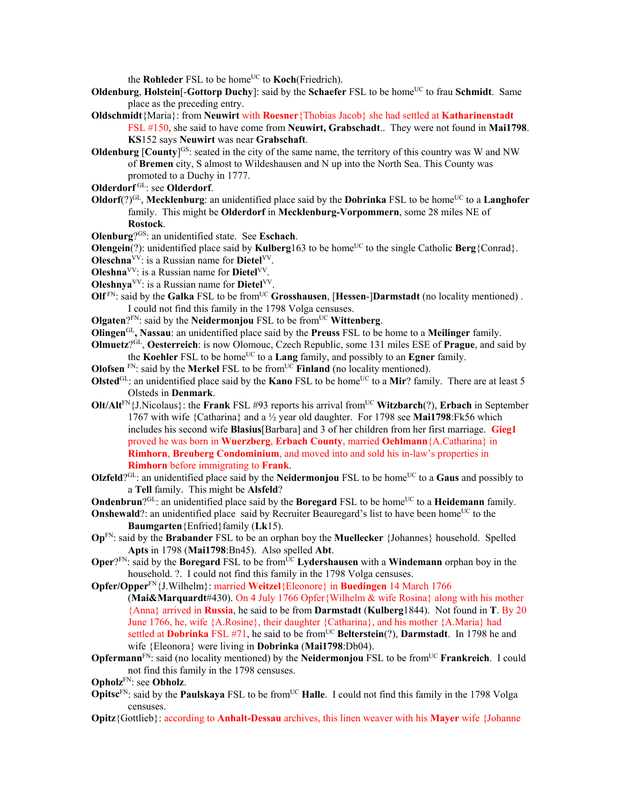the **Rohleder** FSL to be home<sup>UC</sup> to **Koch**(Friedrich).

- **Oldenburg, Holstein**[-**Gottorp Duchy**]: said by the **Schaefer** FSL to be home<sup>UC</sup> to frau **Schmidt**. Same place as the preceding entry.
- **Oldschmidt**{Maria}: from **Neuwirt** with **Roesner**{Thobias Jacob} she had settled at **Katharinenstadt** FSL #150, she said to have come from **Neuwirt, Grabschadt**.. They were not found in **Mai1798**.
	- **KS**152 says **Neuwirt** was near **Grabschaft**.
- **Oldenburg**  $[Country]$ <sup>GS</sup>: seated in the city of the same name, the territory of this country was W and NW of **Bremen** city, S almost to Wildeshausen and N up into the North Sea. This County was promoted to a Duchy in 1777.
- **Olderdorf** GL: see **Olderdorf**.
- **Oldorf** $(?)^{GL}$ , **Mecklenburg**: an unidentified place said by the **Dobrinka** FSL to be home<sup>UC</sup> to a **Langhofer** family. This might be **Olderdorf** in **Mecklenburg-Vorpommern**, some 28 miles NE of **Rostock**.
- **Olenburg**?GS: an unidentified state. See **Eschach**.
- **Olengein**(?): unidentified place said by **Kulberg**163 to be home<sup>UC</sup> to the single Catholic **Berg**{Conrad}.
- **Oleschna**VV: is a Russian name for **Dietel**VV.
- **Oleshna**VV: is a Russian name for **Dietel**VV.
- **Oleshnya**VV: is a Russian name for **Dietel**VV.
- **Olf**<sup>FN</sup>: said by the **Galka** FSL to be from<sup>UC</sup> **Grosshausen**, [Hessen-]Darmstadt (no locality mentioned) . I could not find this family in the 1798 Volga censuses.
- **Olgaten**? $F_N$ : said by the **Neidermonjou** FSL to be from $U^C$  **Wittenberg**.
- **Olingen**GL**, Nassau**: an unidentified place said by the **Preuss** FSL to be home to a **Meilinger** family.
- **Olmuetz**?GL, **Oesterreich**: is now Olomouc, Czech Republic, some 131 miles ESE of **Prague**, and said by the **Koehler** FSL to be home<sup>UC</sup> to a **Lang** family, and possibly to an **Egner** family.
- **Olofsen** <sup>FN</sup>: said by the **Merkel** FSL to be from<sup>UC</sup> **Finland** (no locality mentioned).
- **Olsted**<sup>GL</sup>: an unidentified place said by the **Kano** FSL to be home<sup>UC</sup> to a **Mir**? family. There are at least 5 Olsteds in **Denmark**.
- **Olt/Alt**FN{J.Nicolaus}: the **Frank** FSL #93 reports his arrival fromUC **Witzbarch**(?), **Erbach** in September 1767 with wife {Catharina} and a ½ year old daughter. For 1798 see **Mai1798**:Fk56 which includes his second wife **Blasius**[Barbara] and 3 of her children from her first marriage. **Gieg1** proved he was born in **Wuerzberg**, **Erbach County**, married **Oehlmann**{A.Catharina} in **Rimhorn**, **Breuberg Condominium**, and moved into and sold his in-law's properties in **Rimhorn** before immigrating to **Frank**.
- **Olzfeld**?<sup>GL</sup>: an unidentified place said by the **Neidermonjou** FSL to be home<sup>UC</sup> to a **Gaus** and possibly to a **Tell** family. This might be **Alsfeld**?
- **Ondenbrun**?<sup>GL</sup>: an unidentified place said by the **Boregard** FSL to be home<sup>UC</sup> to a **Heidemann** family.
- **Onshewald**?: an unidentified place said by Recruiter Beauregard's list to have been home<sup>UC</sup> to the **Baumgarten**{Enfried}family (**Lk**15).
- **Op**FN: said by the **Brabander** FSL to be an orphan boy the **Muellecker** {Johannes} household. Spelled **Apts** in 1798 (**Mai1798**:Bn45). Also spelled **Abt**.
- **Oper**?FN: said by the **Boregard** FSL to be from<sup>UC</sup> **Lydershausen** with a **Windemann** orphan boy in the household. ?. I could not find this family in the 1798 Volga censuses.
- **Opfer/Opper**FN{J.Wilhelm}: married **Weitzel**{Eleonore} in **Buedingen** 14 March 1766 (**Mai&Marquardt**#430). On 4 July 1766 Opfer{Wilhelm & wife Rosina} along with his mother {Anna} arrived in **Russia**, he said to be from **Darmstadt** (**Kulberg**1844). Not found in **T**. By 20 June 1766, he, wife {A.Rosine}, their daughter {Catharina}, and his mother {A.Maria} had settled at **Dobrinka** FSL #71, he said to be from<sup>UC</sup> Belterstein(?), Darmstadt. In 1798 he and wife {Eleonora} were living in **Dobrinka** (**Mai1798**:Db04).
- **Opfermann**<sup>FN</sup>: said (no locality mentioned) by the **Neidermonjou** FSL to be from<sup>UC</sup> **Frankreich**. I could not find this family in the 1798 censuses.

**Opholz**FN: see **Obholz**.

- **Opitsc**<sup>FN</sup>: said by the **Paulskaya** FSL to be from<sup>UC</sup> **Halle**. I could not find this family in the 1798 Volga censuses.
- **Opitz**{Gottlieb}: according to **Anhalt-Dessau** archives, this linen weaver with his **Mayer** wife {Johanne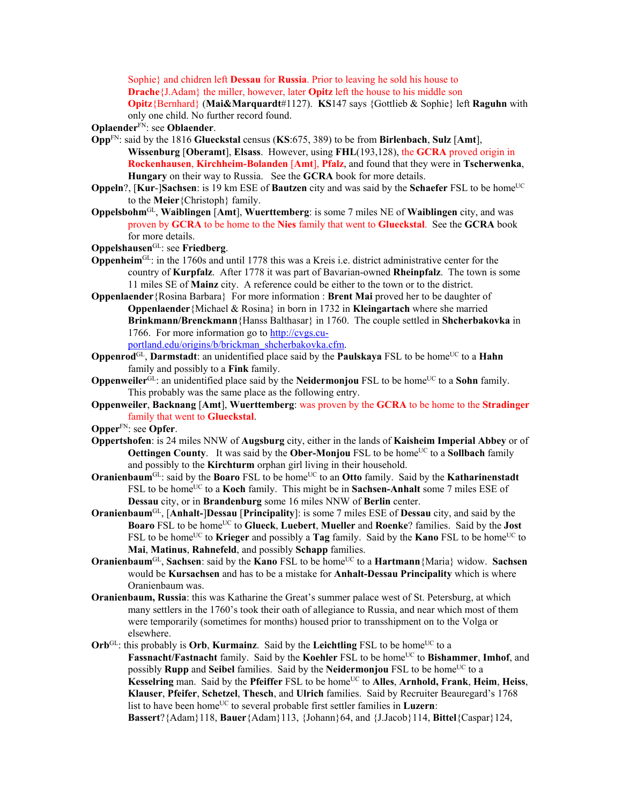Sophie} and chidren left **Dessau** for **Russia**. Prior to leaving he sold his house to **Drache**{J.Adam} the miller, however, later **Opitz** left the house to his middle son **Opitz**{Bernhard} (**Mai&Marquardt**#1127). **KS**147 says {Gottlieb & Sophie} left **Raguhn** with only one child. No further record found.

- **Oplaender**FN: see **Oblaender**.
- **Opp**FN: said by the 1816 **Glueckstal** census (**KS**:675, 389) to be from **Birlenbach**, **Sulz** [**Amt**], **Wissenburg** [**Oberamt**], **Elsass**. However, using **FHL**(193,128), the **GCRA** proved origin in **Rockenhausen**, **Kirchheim-Bolanden** [**Amt**], **Pfalz**, and found that they were in **Tscherwenka**, **Hungary** on their way to Russia. See the **GCRA** book for more details.
- **Oppeln**?, [Kur-]Sachsen: is 19 km ESE of **Bautzen** city and was said by the Schaefer FSL to be home<sup>UC</sup> to the **Meier**{Christoph} family.
- **Oppelsbohm**GL, **Waiblingen** [**Amt**], **Wuerttemberg**: is some 7 miles NE of **Waiblingen** city, and was proven by **GCRA** to be home to the **Nies** family that went to **Glueckstal**. See the **GCRA** book for more details.
- **Oppelshausen**GL: see **Friedberg**.
- **Oppenheim**GL: in the 1760s and until 1778 this was a Kreis i.e. district administrative center for the country of **Kurpfalz**. After 1778 it was part of Bavarian-owned **Rheinpfalz**. The town is some 11 miles SE of **Mainz** city. A reference could be either to the town or to the district.
- **Oppenlaender**{Rosina Barbara} For more information : **Brent Mai** proved her to be daughter of **Oppenlaender**{Michael & Rosina} in born in 1732 in **Kleingartach** where she married **Brinkmann/Brenckmann**{Hanss Balthasar} in 1760. The couple settled in **Shcherbakovka** in 1766. For more information go to http://cvgs.cuportland.edu/origins/b/brickman\_shcherbakovka.cfm.

**Oppenrod**<sup>GL</sup>, **Darmstadt**: an unidentified place said by the **Paulskaya** FSL to be home<sup>UC</sup> to a **Hahn** family and possibly to a **Fink** family.

- **Oppenweiler**<sup>GL</sup>: an unidentified place said by the **Neidermonjou** FSL to be home<sup>UC</sup> to a **Sohn** family. This probably was the same place as the following entry.
- **Oppenweiler**, **Backnang** [**Amt**], **Wuerttemberg**: was proven by the **GCRA** to be home to the **Stradinger** family that went to **Glueckstal**.

**Opper**FN: see **Opfer**.

- **Oppertshofen**: is 24 miles NNW of **Augsburg** city, either in the lands of **Kaisheim Imperial Abbey** or of **Oettingen County.** It was said by the **Ober-Monjou** FSL to be home<sup>UC</sup> to a **Sollbach** family and possibly to the **Kirchturm** orphan girl living in their household.
- **Oranienbaum**<sup>GL</sup>: said by the **Boaro** FSL to be home<sup>UC</sup> to an **Otto** family. Said by the **Katharinenstadt** FSL to be home<sup>UC</sup> to a **Koch** family. This might be in **Sachsen-Anhalt** some 7 miles ESE of **Dessau** city, or in **Brandenburg** some 16 miles NNW of **Berlin** center.
- **Oranienbaum**GL, [**Anhalt-**]**Dessau** [**Principality**]: is some 7 miles ESE of **Dessau** city, and said by the **Boaro** FSL to be homeUC to **Glueck**, **Luebert**, **Mueller** and **Roenke**? families. Said by the **Jost** FSL to be home<sup>UC</sup> to **Krieger** and possibly a **Tag** family. Said by the **Kano** FSL to be home<sup>UC</sup> to **Mai**, **Matinus**, **Rahnefeld**, and possibly **Schapp** families.
- **Oranienbaum**<sup>GL</sup>, **Sachsen**: said by the **Kano** FSL to be home<sup>UC</sup> to a **Hartmann**{Maria} widow. **Sachsen** would be **Kursachsen** and has to be a mistake for **Anhalt-Dessau Principality** which is where Oranienbaum was.
- **Oranienbaum, Russia**: this was Katharine the Great's summer palace west of St. Petersburg, at which many settlers in the 1760's took their oath of allegiance to Russia, and near which most of them were temporarily (sometimes for months) housed prior to transshipment on to the Volga or elsewhere.

 $Orb^{GL}$ : this probably is **Orb**, **Kurmainz**. Said by the **Leichtling** FSL to be home<sup>UC</sup> to a **Fassnacht/Fastnacht family.** Said by the **Koehler** FSL to be home<sup>UC</sup> to **Bishammer**, **Imhof**, and possibly **Rupp** and **Seibel** families. Said by the **Neidermonjou** FSL to be home<sup>UC</sup> to a **Kesselring** man. Said by the **Pfeiffer** FSL to be home<sup>UC</sup> to **Alles**, **Arnhold**, Frank, Heim, Heiss, **Klauser**, **Pfeifer**, **Schetzel**, **Thesch**, and **Ulrich** families. Said by Recruiter Beauregard's 1768 list to have been home<sup>UC</sup> to several probable first settler families in **Luzern**: **Bassert**?{Adam}118, **Bauer**{Adam}113, {Johann}64, and {J.Jacob}114, **Bittel**{Caspar}124,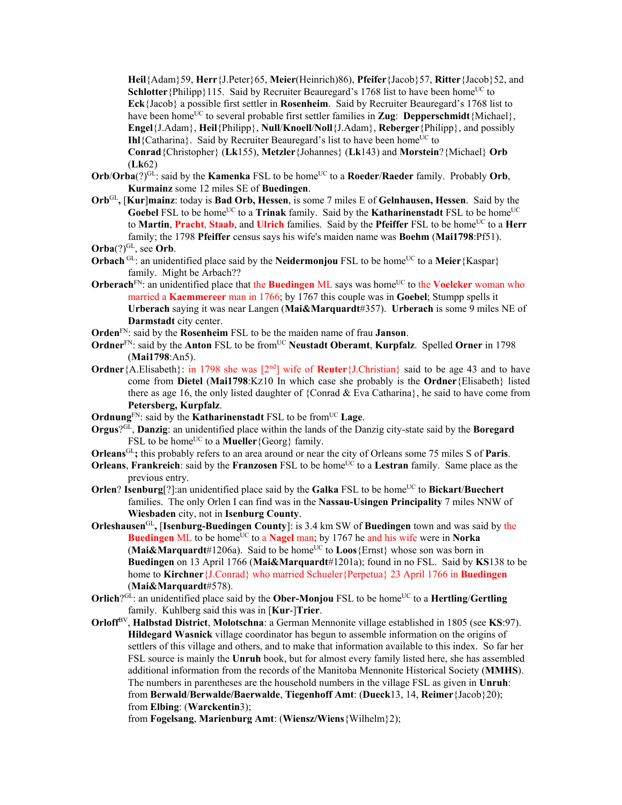**Heil**{Adam}59, **Herr**{J.Peter}65, **Meier**(Heinrich)86), **Pfeifer**{Jacob}57, **Ritter**{Jacob}52, and **Schlotter** {Philipp}115. Said by Recruiter Beauregard's 1768 list to have been home<sup>UC</sup> to **Eck**{Jacob} a possible first settler in **Rosenheim**. Said by Recruiter Beauregard's 1768 list to have been home<sup>UC</sup> to several probable first settler families in **Zug**: **Depperschmidt**{Michael}, **Engel**{J.Adam}, **Heil**{Philipp}, **Null**/**Knoell**/**Noll**{J.Adam}, **Reberger**{Philipp}, and possibly **Ihl**{Catharina}. Said by Recruiter Beauregard's list to have been home<sup>UC</sup> to **Conrad**{Christopher} (**Lk**155), **Metzler**{Johannes} (**Lk**143) and **Morstein**?{Michael} **Orb** (**Lk**62)

- **Orb/Orba**(?)<sup>GL</sup>: said by the **Kamenka** FSL to be home<sup>UC</sup> to a **Roeder/Raeder** family. Probably **Orb**, **Kurmainz** some 12 miles SE of **Buedingen**.
- **Orb**GL**,** [**Kur**]**mainz**: today is **Bad Orb, Hessen**, is some 7 miles E of **Gelnhausen, Hessen**. Said by the **Goebel** FSL to be home<sup>UC</sup> to a **Trinak** family. Said by the **Katharinenstadt** FSL to be home<sup>UC</sup> to **Martin**, **Pracht**, **Staab**, and **Ulrich** families. Said by the **Pfeiffer** FSL to be home<sup>UC</sup> to a **Herr** family; the 1798 **Pfeiffer** census says his wife's maiden name was **Boehm** (**Mai1798**:Pf51).

- **Orbach** GL: an unidentified place said by the **Neidermonjou** FSL to be home<sup>UC</sup> to a **Meier** {Kaspar} family. Might be Arbach??
- **Orberach**<sup>FN</sup>: an unidentified place that the **Buedingen** ML says was home<sup>UC</sup> to the **Voelcker** woman who married a **Kaemmereer** man in 1766; by 1767 this couple was in **Goebel**; Stumpp spells it **Urberach** saying it was near Langen (**Mai&Marquardt**#357). **Urberach** is some 9 miles NE of **Darmstadt** city center.
- **Orden**FN: said by the **Rosenheim** FSL to be the maiden name of frau **Janson**.
- **Ordner**<sup>FN</sup>: said by the **Anton** FSL to be from<sup>UC</sup> **Neustadt Oberamt**, **Kurpfalz**. Spelled **Orner** in 1798 (**Mai1798**:An5).
- **Ordner**{A.Elisabeth}: in 1798 she was  $[2<sup>nd</sup>]$  wife of **Reuter**{J.Christian} said to be age 43 and to have come from **Dietel** (**Mai1798**:KZ10 In which case she probably is the **Ordner**{Elisabeth} listed there as age 16, the only listed daughter of {Conrad  $\&$  Eva Catharina}, he said to have come from **Petersberg, Kurpfalz**.
- **Ordnung**<sup>FN</sup>: said by the **Katharinenstadt** FSL to be from<sup>UC</sup> Lage.
- **Orgus**?GL, **Danzig**: an unidentified place within the lands of the Danzig city-state said by the **Boregard** FSL to be home<sup>UC</sup> to a **Mueller** {Georg} family.
- **Orleans**GL**;** this probably refers to an area around or near the city of Orleans some 75 miles S of **Paris**.
- **Orleans, Frankreich**: said by the **Franzosen** FSL to be home<sup>UC</sup> to a Lestran family. Same place as the previous entry.
- **Orlen**? **Isenburg**<sup>[?]</sup>:an unidentified place said by the **Galka** FSL to be home<sup>UC</sup> to **Bickart**/**Buechert** families. The only Orlen I can find was in the **Nassau-Usingen Principality** 7 miles NNW of **Wiesbaden** city, not in **Isenburg County**.
- **Orleshausen**GL**,** [**Isenburg-Buedingen County**]: is 3.4 km SW of **Buedingen** town and was said by the **Buedingen** ML to be home<sup>UC</sup> to a **Nagel** man; by 1767 he and his wife were in **Norka** (**Mai&Marquardt**#1206a). Said to be home<sup>UC</sup> to **Loos**{Ernst} whose son was born in **Buedingen** on 13 April 1766 (**Mai&Marquardt**#1201a); found in no FSL. Said by **KS**138 to be home to **Kirchner**{J.Conrad} who married Schueler{Perpetua} 23 April 1766 in **Buedingen**  (**Mai&Marquardt**#578).
- **Orlich**? $G<sup>CL</sup>$ : an unidentified place said by the **Ober-Monjou** FSL to be home<sup>UC</sup> to a **Hertling/Gertling** family. Kuhlberg said this was in [**Kur**-]**Trier**.
- **Orloff**BV, **Halbstad District**, **Molotschna**: a German Mennonite village established in 1805 (see **KS**:97). **Hildegard Wasnick** village coordinator has begun to assemble information on the origins of settlers of this village and others, and to make that information available to this index. So far her FSL source is mainly the **Unruh** book, but for almost every family listed here, she has assembled additional information from the records of the Manitoba Mennonite Historical Society (**MMHS**). The numbers in parentheses are the household numbers in the village FSL as given in **Unruh**: from **Berwald**/**Berwalde/Baerwalde**, **Tiegenhoff Amt**: (**Dueck**13, 14, **Reimer**{Jacob}20); from **Elbing**: (**Warckentin**3);

from **Fogelsang**, **Marienburg Amt**: (**Wiensz/Wiens**{Wilhelm}2);

 $Orba$ <sup>(?) $GL$ </sup>, see Orb.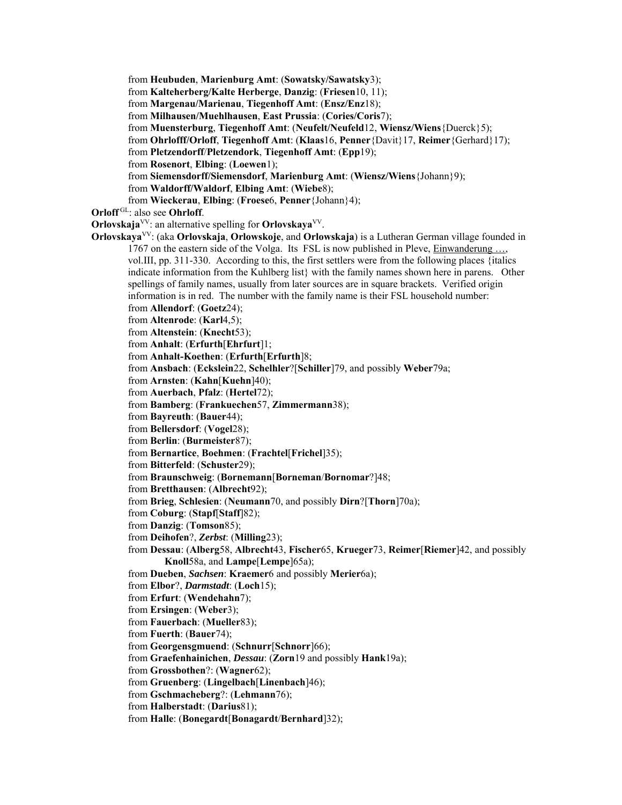from **Heubuden**, **Marienburg Amt**: (**Sowatsky/Sawatsky**3); from **Kalteherberg/Kalte Herberge**, **Danzig**: (**Friesen**10, 11); from **Margenau/Marienau**, **Tiegenhoff Amt**: (**Ensz/Enz**18); from **Milhausen/Muehlhausen**, **East Prussia**: (**Cories/Coris**7); from **Muensterburg**, **Tiegenhoff Amt**: (**Neufelt/Neufeld**12, **Wiensz/Wiens**{Duerck}5); from **Ohrlofff/Orloff**, **Tiegenhoff Amt**: (**Klaas**16, **Penner**{Davit}17, **Reimer**{Gerhard}17); from **Pletzendorff**/**Pletzendork**, **Tiegenhoff Amt**: (**Epp**19); from **Rosenort**, **Elbing**: (**Loewen**1); from **Siemensdorff/Siemensdorf**, **Marienburg Amt**: (**Wiensz/Wiens**{Johann}9); from **Waldorff/Waldorf**, **Elbing Amt**: (**Wiebe**8); from **Wieckerau**, **Elbing**: (**Froese**6, **Penner**{Johann}4); **Orloff** GL: also see **Ohrloff**. **Orlovskaja**<sup>VV</sup>: an alternative spelling for **Orlovskaya**<sup>VV</sup>. **Orlovskaya**VV: (aka **Orlovskaja**, **Orlowskoje**, and **Orlowskaja**) is a Lutheran German village founded in 1767 on the eastern side of the Volga. Its FSL is now published in Pleve, Einwanderung …, vol.III, pp. 311-330. According to this, the first settlers were from the following places {italics indicate information from the Kuhlberg list} with the family names shown here in parens. Other spellings of family names, usually from later sources are in square brackets. Verified origin information is in red. The number with the family name is their FSL household number: from **Allendorf**: (**Goetz**24); from **Altenrode**: (**Karl**4,5); from **Altenstein**: (**Knecht**53); from **Anhalt**: (**Erfurth**[**Ehrfurt**]1; from **Anhalt-Koethen**: (**Erfurth**[**Erfurth**]8; from **Ansbach**: (**Eckslein**22, **Schelhler**?[**Schiller**]79, and possibly **Weber**79a; from **Arnsten**: (**Kahn**[**Kuehn**]40); from **Auerbach**, **Pfalz**: (**Hertel**72); from **Bamberg**: (**Frankuechen**57, **Zimmermann**38); from **Bayreuth**: (**Bauer**44); from **Bellersdorf**: (**Vogel**28); from **Berlin**: (**Burmeister**87); from **Bernartice**, **Boehmen**: (**Frachtel**[**Frichel**]35); from **Bitterfeld**: (**Schuster**29); from **Braunschweig**: (**Bornemann**[**Borneman**/**Bornomar**?]48; from **Bretthausen**: (**Albrecht**92); from **Brieg**, **Schlesien**: (**Neumann**70, and possibly **Dirn**?[**Thorn**]70a); from **Coburg**: (**Stapf**[**Staff**]82); from **Danzig**: (**Tomson**85); from **Deihofen**?, *Zerbst*: (**Milling**23); from **Dessau**: (**Alberg**58, **Albrecht**43, **Fischer**65, **Krueger**73, **Reimer**[**Riemer**]42, and possibly **Knoll**58a, and **Lampe**[**Lempe**]65a); from **Dueben**, *Sachsen*: **Kraemer**6 and possibly **Merier**6a); from **Elbor**?, *Darmstadt*: (**Loch**15); from **Erfurt**: (**Wendehahn**7); from **Ersingen**: (**Weber**3); from **Fauerbach**: (**Mueller**83); from **Fuerth**: (**Bauer**74); from **Georgensgmuend**: (**Schnurr**[**Schnorr**]66); from **Graefenhainichen**, *Dessau*: (**Zorn**19 and possibly **Hank**19a); from **Grossbothen**?: (**Wagner**62); from **Gruenberg**: (**Lingelbach**[**Linenbach**]46); from **Gschmacheberg**?: (**Lehmann**76); from **Halberstadt**: (**Darius**81); from **Halle**: (**Bonegardt**[**Bonagardt**/**Bernhard**]32);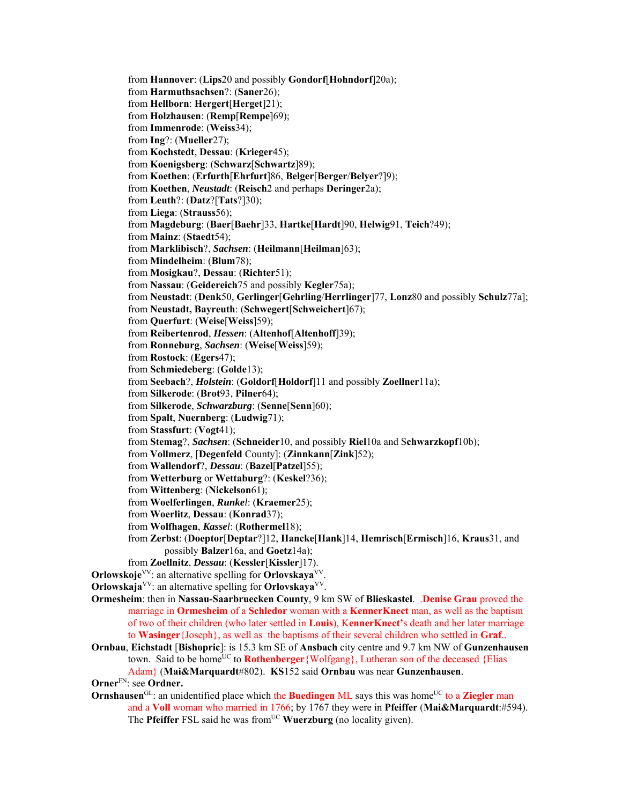from **Hannover**: (**Lips**20 and possibly **Gondorf**[**Hohndorf**]20a); from **Harmuthsachsen**?: (**Saner**26); from **Hellborn**: **Hergert**[**Herget**]21); from **Holzhausen**: (**Remp**[**Rempe**]69); from **Immenrode**: (**Weiss**34); from **Ing**?: (**Mueller**27); from **Kochstedt**, **Dessau**: (**Krieger**45); from **Koenigsberg**: (**Schwarz**[**Schwartz**]89); from **Koethen**: (**Erfurth**[**Ehrfurt**]86, **Belger**[**Berger**/**Belyer**?]9); from **Koethen**, *Neustadt*: (**Reisch**2 and perhaps **Deringer**2a); from **Leuth**?: (**Datz**?[**Tats**?]30); from **Liega**: (**Strauss**56); from **Magdeburg**: (**Baer**[**Baehr**]33, **Hartke**[**Hardt**]90, **Helwig**91, **Teich**?49); from **Mainz**: (**Staedt**54); from **Marklibisch**?, *Sachsen*: (**Heilmann**[**Heilman**]63); from **Mindelheim**: (**Blum**78); from **Mosigkau**?, **Dessau**: (**Richter**51); from **Nassau**: (**Geidereich**75 and possibly **Kegler**75a); from **Neustadt**: (**Denk**50, **Gerlinger**[**Gehrling**/**Herrlinger**]77, **Lonz**80 and possibly **Schulz**77a]; from **Neustadt, Bayreuth**: (**Schwegert**[**Schweichert**]67); from **Querfurt**: (**Weise**[**Weiss**]59); from **Reibertenrod**, *Hessen*: (**Altenhof**[**Altenhoff**]39); from **Ronneburg**, *Sachsen*: (**Weise**[**Weiss**]59); from **Rostock**: (**Egers**47); from **Schmiedeberg**: (**Golde**13); from **Seebach**?, *Holstein*: (**Goldorf**[**Holdorf**]11 and possibly **Zoellner**11a); from **Silkerode**: (**Brot**93, **Pilner**64); from **Silkerode**, *Schwarzburg*: (**Senne**[**Senn**]60); from **Spalt**, **Nuernberg**: (**Ludwig**71); from **Stassfurt**: (**Vogt**41); from **Stemag**?, *Sachsen*: (**Schneider**10, and possibly **Riel**10a and S**chwarzkopf**10b); from **Vollmerz**, [**Degenfeld** County]: (**Zinnkann**[**Zink**]52); from **Wallendorf**?, *Dessau*: (**Bazel**[**Patzel**]55); from **Wetterburg** or **Wettaburg**?: (**Keskel**?36); from **Wittenberg**: (**Nickelson**61); from **Woelferlingen**, *Runkel*: (**Kraemer**25); from **Woerlitz**, **Dessau**: (**Konrad**37); from **Wolfhagen**, *Kassel*: (**Rothermel**18); from **Zerbst**: (**Doeptor**[**Deptar**?]12, **Hancke**[**Hank**]14, **Hemrisch**[**Ermisch**]16, **Kraus**31, and possibly **Balzer**16a, and **Goetz**14a); from **Zoellnitz**, *Dessau*: (**Kessler**[**Kissler**]17). **Orlowskoje**<sup>VV</sup>: an alternative spelling for **Orlovskaya**<sup>VV</sup>. **Orlowskaja**<sup>VV</sup>: an alternative spelling for **Orlovskaya**<sup>VV</sup>. **Ormesheim**: then in **Nassau-Saarbruecken County**, 9 km SW of **Blieskastel**. .**Denise Grau** proved the marriage in **Ormesheim** of a **Schledor** woman with a **KennerKnect** man, as well as the baptism of two of their children (who later settled in **Louis**), K**ennerKnect'**s death and her later marriage to **Wasinger**{Joseph}, as well as the baptisms of their several children who settled in **Graf**.. **Ornbau**, **Eichstadt** [**Bishopric**]: is 15.3 km SE of **Ansbach** city centre and 9.7 km NW of **Gunzenhausen** town. Said to be home<sup>UC</sup> to **Rothenberger** {Wolfgang}, Lutheran son of the deceased {Elias Adam} (**Mai&Marquardt**#802). **KS**152 said **Ornbau** was near **Gunzenhausen**. **Orner**FN: see **Ordner. Ornshausen**<sup>GL</sup>: an unidentified place which the **Buedingen** ML says this was home<sup>UC</sup> to a **Ziegler** man and a **Voll** woman who married in 1766; by 1767 they were in **Pfeiffer** (**Mai&Marquardt**:#594).

The **Pfeiffer** FSL said he was from<sup>UC</sup> **Wuerzburg** (no locality given).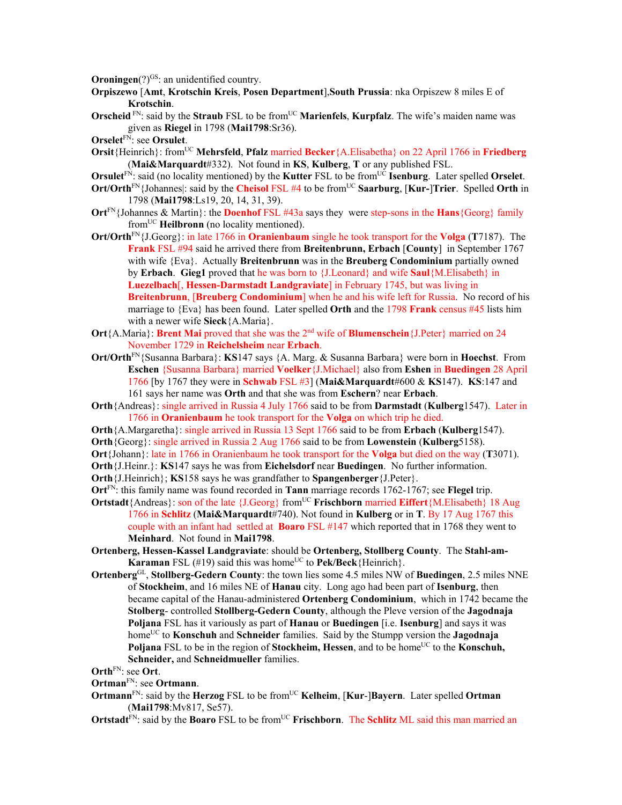**Oroningen**(?)<sup>GS</sup>: an unidentified country.

- **Orpiszewo** [**Amt**, **Krotschin Kreis**, **Posen Department**],**South Prussia**: nka Orpiszew 8 miles E of **Krotschin**.
- **Orscheid** FN: said by the **Straub** FSL to be from<sup>UC</sup> **Marienfels, Kurpfalz**. The wife's maiden name was given as **Riegel** in 1798 (**Mai1798**:Sr36).
- **Orselet**FN: see **Orsulet**.
- **Orsit**{Heinrich}: from<sup>UC</sup> **Mehrsfeld**, **Pfalz** married **Becker**{A.Elisabetha} on 22 April 1766 in **Friedberg** (**Mai&Marquardt**#332). Not found in **KS**, **Kulberg**, **T** or any published FSL.
- **Orsulet**FN: said (no locality mentioned) by the **Kutter** FSL to be fromUC **Isenburg**. Later spelled **Orselet**.
- **Ort/Orth**<sup>FN</sup>{Johannes]: said by the **Cheisol** FSL #4 to be from<sup>UC</sup> **Saarburg**, [Kur-]Trier. Spelled **Orth** in 1798 (**Mai1798**:Ls19, 20, 14, 31, 39).
- **Ort**FN{Johannes & Martin}: the **Doenhof** FSL #43a says they were step-sons in the **Hans**{Georg} family fromUC **Heilbronn** (no locality mentioned).
- **Ort/Orth**FN{J.Georg}: in late 1766 in **Oranienbaum** single he took transport for the **Volga** (**T**7187). The **Frank** FSL #94 said he arrived there from **Breitenbrunn, Erbach** [**County**] in September 1767 with wife {Eva}. Actually **Breitenbrunn** was in the **Breuberg Condominium** partially owned by **Erbach**. **Gieg1** proved that he was born to {J.Leonard} and wife **Saul**{M.Elisabeth} in **Luezelbach**[, **Hessen-Darmstadt Landgraviate**] in February 1745, but was living in **Breitenbrunn**, [**Breuberg Condominium**] when he and his wife left for Russia. No record of his marriage to {Eva} has been found. Later spelled **Orth** and the 1798 **Frank** census #45 lists him with a newer wife **Sieck**{A.Maria}.
- **Ort**{A.Maria}: **Brent Mai** proved that she was the 2nd wife of **Blumenschein**{J.Peter} married on 24 November 1729 in **Reichelsheim** near **Erbach**.
- **Ort/Orth**FN{Susanna Barbara}: **KS**147 says {A. Marg. & Susanna Barbara} were born in **Hoechst**. From **Eschen** {Susanna Barbara} married **Voelker**{J.Michael} also from **Eshen** in **Buedingen** 28 April 1766 [by 1767 they were in **Schwab** FSL #3] (**Mai&Marquardt**#600 & **KS**147). **KS**:147 and 161 says her name was **Orth** and that she was from **Eschern**? near **Erbach**.
- **Orth**{Andreas}: single arrived in Russia 4 July 1766 said to be from **Darmstadt** (**Kulberg**1547). Later in 1766 in **Oranienbaum** he took transport for the **Volga** on which trip he died.
- **Orth**{A.Margaretha}: single arrived in Russia 13 Sept 1766 said to be from **Erbach** (**Kulberg**1547).
- **Orth**{Georg}: single arrived in Russia 2 Aug 1766 said to be from **Lowenstein** (**Kulberg**5158).

**Ort**{Johann}: late in 1766 in Oranienbaum he took transport for the **Volga** but died on the way (**T**3071).

**Orth**{J.Heinr.}: **KS**147 says he was from **Eichelsdorf** near **Buedingen**. No further information.

**Orth**{J.Heinrich}; **KS**158 says he was grandfather to **Spangenberger**{J.Peter}.

**Ort**FN: this family name was found recorded in **Tann** marriage records 1762-1767; see **Flegel** trip.

- **Ortstadt**{Andreas}: son of the late {J.Georg} from<sup>UC</sup> **Frischborn** married **Eiffert**{M.Elisabeth} 18 Aug 1766 in **Schlitz** (**Mai&Marquardt**#740). Not found in **Kulberg** or in **T**. By 17 Aug 1767 this couple with an infant had settled at **Boaro** FSL #147 which reported that in 1768 they went to **Meinhard**. Not found in **Mai1798**.
- **Ortenberg, Hessen-Kassel Landgraviate**: should be **Ortenberg, Stollberg County**. The **Stahl-am-Karaman** FSL (#19) said this was home<sup>UC</sup> to **Pek/Beck** {Heinrich}.
- **Ortenberg**GL, **Stollberg-Gedern County**: the town lies some 4.5 miles NW of **Buedingen**, 2.5 miles NNE of **Stockheim**, and 16 miles NE of **Hanau** city. Long ago had been part of **Isenburg**, then became capital of the Hanau-administered **Ortenberg Condominium**, which in 1742 became the **Stolberg**- controlled **Stollberg-Gedern County**, although the Pleve version of the **Jagodnaja Poljana** FSL has it variously as part of **Hanau** or **Buedingen** [i.e. **Isenburg**] and says it was homeUC to **Konschuh** and **Schneider** families. Said by the Stumpp version the **Jagodnaja Poljana** FSL to be in the region of **Stockheim, Hessen**, and to be home<sup>UC</sup> to the **Konschuh, Schneider,** and **Schneidmueller** families.

**Orth**FN: see **Ort**.

- **Ortman**FN: see **Ortmann**.
- **Ortmann**<sup>FN</sup>: said by the **Herzog** FSL to be from<sup>UC</sup> **Kelheim**, [**Kur-]Bayern**. Later spelled **Ortman** (**Mai1798**:Mv817, Se57).
- **Ortstadt**<sup>FN</sup>: said by the **Boaro** FSL to be from<sup>UC</sup> **Frischborn**. The **Schlitz** ML said this man married an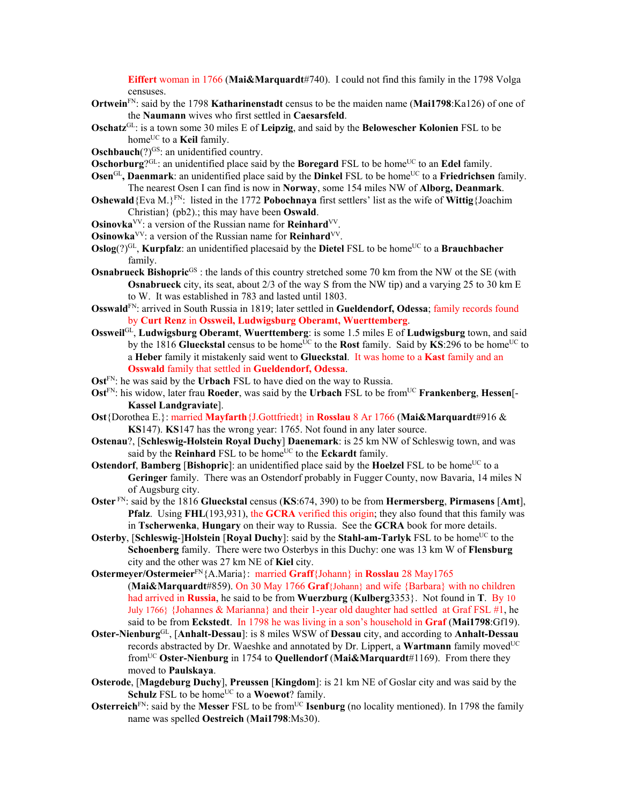**Eiffert** woman in 1766 (**Mai&Marquardt**#740). I could not find this family in the 1798 Volga censuses.

- **Ortwein**FN: said by the 1798 **Katharinenstadt** census to be the maiden name (**Mai1798**:Ka126) of one of the **Naumann** wives who first settled in **Caesarsfeld**.
- **Oschatz**GL: is a town some 30 miles E of **Leipzig**, and said by the **Belowescher Kolonien** FSL to be home<sup>UC</sup> to a **Keil** family.
- **Oschbauch**(?)<sup>GS</sup>: an unidentified country.
- **Oschorburg**? $GL:$  an unidentified place said by the **Boregard** FSL to be home<sup>UC</sup> to an **Edel** family.
- **Osen**<sup>GL</sup>, Daenmark: an unidentified place said by the Dinkel FSL to be home<sup>UC</sup> to a **Friedrichsen** family. The nearest Osen I can find is now in **Norway**, some 154 miles NW of **Alborg, Deanmark**.
- **Oshewald**{Eva M. ${}_{k}$ FN: listed in the 1772 **Pobochnaya** first settlers' list as the wife of **Wittig**{Joachim Christian} (pb2).; this may have been **Oswald**.
- **Osinovka**VV: a version of the Russian name for **Reinhard**VV.
- **Osinowka**<sup>VV</sup>: a version of the Russian name for **Reinhard**<sup>VV</sup>.
- **Oslog**(?)<sup>GL</sup>, **Kurpfalz**: an unidentified placesaid by the **Dietel** FSL to be home<sup>UC</sup> to a **Brauchbacher** family.
- **Osnabrueck Bishopric**<sup>GS</sup>: the lands of this country stretched some 70 km from the NW ot the SE (with **Osnabrueck** city, its seat, about 2/3 of the way S from the NW tip) and a varying 25 to 30 km E to W. It was established in 783 and lasted until 1803.
- **Osswald**FN: arrived in South Russia in 1819; later settled in **Gueldendorf, Odessa**; family records found by **Curt Renz** in **Ossweil, Ludwigsburg Oberamt, Wuerttemberg**.
- **Ossweil**GL, **Ludwigsburg Oberamt**, **Wuerttemberg**: is some 1.5 miles E of **Ludwigsburg** town, and said by the 1816 **Glueckstal** census to be home<sup>UC</sup> to the **Rost** family. Said by **KS**:296 to be home<sup>UC</sup> to a **Heber** family it mistakenly said went to **Glueckstal**. It was home to a **Kast** family and an **Osswald** family that settled in **Gueldendorf, Odessa**.
- **Ost**<sup>FN</sup>: he was said by the **Urbach** FSL to have died on the way to Russia.
- **Ost**<sup>FN</sup>: his widow, later frau **Roeder**, was said by the **Urbach** FSL to be from<sup>UC</sup> **Frankenberg**, **Hessen**[-**Kassel Landgraviate**].
- **Ost**{Dorothea E.}: married **Mayfarth**{J.Gottfriedt} in **Rosslau** 8 Ar 1766 (**Mai&Marquardt**#916 & **KS**147). **KS**147 has the wrong year: 1765. Not found in any later source.
- **Ostenau**?, [**Schleswig-Holstein Royal Duchy**] **Daenemark**: is 25 km NW of Schleswig town, and was said by the **Reinhard** FSL to be home<sup>UC</sup> to the **Eckardt** family.
- **Ostendorf**, **Bamberg** [Bishopric]: an unidentified place said by the **Hoelzel** FSL to be home<sup>UC</sup> to a **Geringer** family. There was an Ostendorf probably in Fugger County, now Bavaria, 14 miles N of Augsburg city.
- **Oster** FN: said by the 1816 **Glueckstal** census (**KS**:674, 390) to be from **Hermersberg**, **Pirmasens** [**Amt**], **Pfalz**. Using **FHL**(193,931), the **GCRA** verified this origin; they also found that this family was in **Tscherwenka**, **Hungary** on their way to Russia. See the **GCRA** book for more details.
- **Osterby**, [Schleswig-]Holstein [Royal Duchy]: said by the Stahl-am-Tarlyk FSL to be home<sup>UC</sup> to the **Schoenberg** family. There were two Osterbys in this Duchy: one was 13 km W of **Flensburg**  city and the other was 27 km NE of **Kiel** city.
- **Ostermeyer/Ostermeier**FN{A.Maria}: married **Graff**{Johann} in **Rosslau** 28 May1765 (**Mai&Marquardt**#859). On 30 May 1766 **Graf**{Johann} and wife {Barbara} with no children had arrived in **Russia**, he said to be from **Wuerzburg** (**Kulberg**3353}. Not found in **T**. By 10 July 1766} {Johannes & Marianna} and their 1-year old daughter had settled at Graf FSL #1, he said to be from **Eckstedt**. In 1798 he was living in a son's household in **Graf** (**Mai1798**:Gf19).
- **Oster-Nienburg**GL, [**Anhalt-Dessau**]: is 8 miles WSW of **Dessau** city, and according to **Anhalt-Dessau** records abstracted by Dr. Waeshke and annotated by Dr. Lippert, a **Wartmann** family moved<sup>UC</sup> fromUC **Oster-Nienburg** in 1754 to **Quellendorf** (**Mai&Marquardt**#1169). From there they moved to **Paulskaya**.
- **Osterode**, [**Magdeburg Duchy**], **Preussen** [**Kingdom**]: is 21 km NE of Goslar city and was said by the **Schulz** FSL to be home<sup>UC</sup> to a **Woewot**? family.
- **Osterreich**<sup>FN</sup>: said by the **Messer** FSL to be from<sup>UC</sup> **Isenburg** (no locality mentioned). In 1798 the family name was spelled **Oestreich** (**Mai1798**:Ms30).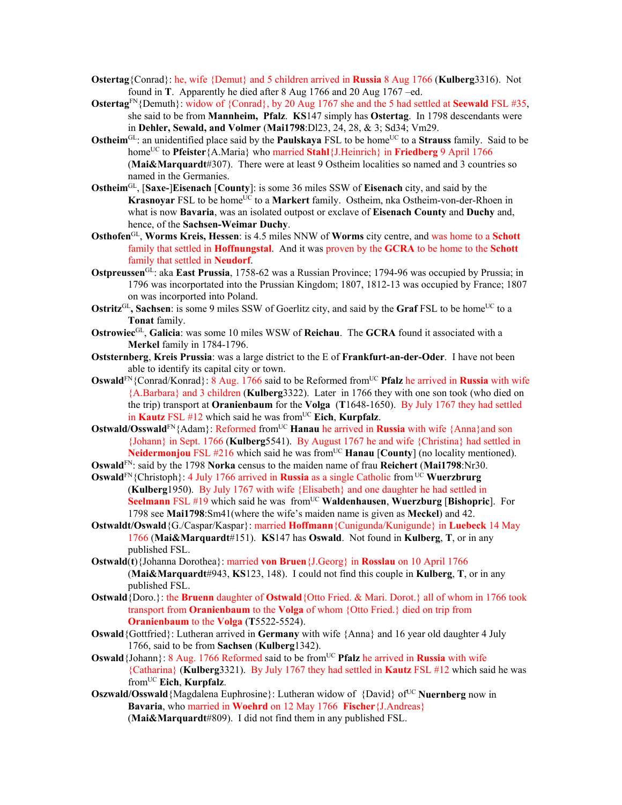- **Ostertag**{Conrad}: he, wife {Demut} and 5 children arrived in **Russia** 8 Aug 1766 (**Kulberg**3316). Not found in **T**. Apparently he died after 8 Aug 1766 and 20 Aug 1767 –ed.
- **Ostertag**FN{Demuth}: widow of {Conrad}, by 20 Aug 1767 she and the 5 had settled at **Seewald** FSL #35, she said to be from **Mannheim, Pfalz**. **KS**147 simply has **Ostertag**. In 1798 descendants were in **Dehler, Sewald, and Volmer** (**Mai1798**:Dl23, 24, 28, & 3; Sd34; Vm29.
- **Ostheim**<sup>GL</sup>: an unidentified place said by the **Paulskaya** FSL to be home<sup>UC</sup> to a **Strauss** family. Said to be home<sup>UC</sup> to **Pfeister**{A.Maria} who married **Stahl**{J.Heinrich} in **Friedberg** 9 April 1766 (**Mai&Marquardt**#307). There were at least 9 Ostheim localities so named and 3 countries so named in the Germanies.
- **Ostheim**GL, [**Saxe-**]**Eisenach** [**County**]: is some 36 miles SSW of **Eisenach** city, and said by the **Krasnoyar FSL to be home<sup>UC</sup> to a Markert family.** Ostheim, nka Ostheim-von-der-Rhoen in what is now **Bavaria**, was an isolated outpost or exclave of **Eisenach County** and **Duchy** and, hence, of the **Sachsen-Weimar Duchy**.
- **Osthofen**GL, **Worms Kreis, Hessen**: is 4.5 miles NNW of **Worms** city centre, and was home to a **Schott**  family that settled in **Hoffnungstal**. And it was proven by the **GCRA** to be home to the **Schott** family that settled in **Neudorf**.
- **Ostpreussen**GL: aka **East Prussia**, 1758-62 was a Russian Province; 1794-96 was occupied by Prussia; in 1796 was incorportated into the Prussian Kingdom; 1807, 1812-13 was occupied by France; 1807 on was incorported into Poland.
- **Ostritz**<sup>GL</sup>, Sachsen: is some 9 miles SSW of Goerlitz city, and said by the **Graf** FSL to be home<sup>UC</sup> to a **Tonat** family.
- **Ostrowiec**GL, **Galicia**: was some 10 miles WSW of **Reichau**. The **GCRA** found it associated with a **Merkel** family in 1784-1796.
- **Oststernberg**, **Kreis Prussia**: was a large district to the E of **Frankfurt-an-der-Oder**. I have not been able to identify its capital city or town.
- **Oswald**<sup>FN</sup>{Conrad/Konrad}: 8 Aug. 1766 said to be Reformed from<sup>UC</sup> **Pfalz** he arrived in **Russia** with wife {A.Barbara} and 3 children (**Kulberg**3322). Later in 1766 they with one son took (who died on the trip) transport at **Oranienbaum** for the **Volga** (**T**1648-1650). By July 1767 they had settled in **Kautz** FSL  $#12$  which said he was from<sup>UC</sup> Eich, **Kurpfalz**.

**Ostwald/Osswald**<sup>FN</sup>{Adam}: Reformed from<sup>UC</sup> **Hanau** he arrived in **Russia** with wife {Anna}and son {Johann} in Sept. 1766 (**Kulberg**5541). By August 1767 he and wife {Christina} had settled in **Neidermonjou** FSL #216 which said he was from<sup>UC</sup> **Hanau** [County] (no locality mentioned).

**Oswald**FN: said by the 1798 **Norka** census to the maiden name of frau **Reichert** (**Mai1798**:Nr30.

- **Oswald**<sup>FN</sup>{Christoph}: 4 July 1766 arrived in **Russia** as a single Catholic from <sup>UC</sup> Wuerzbrurg (**Kulberg**1950). By July 1767 with wife {Elisabeth} and one daughter he had settled in **Seelmann** FSL #19 which said he was from<sup>UC</sup> **Waldenhausen**, **Wuerzburg** [Bishopric]. For 1798 see **Mai1798**:Sm41(where the wife's maiden name is given as **Meckel**) and 42.
- **Ostwaldt/Oswald**{G./Caspar/Kaspar}: married **Hoffmann**{Cunigunda/Kunigunde} in **Luebeck** 14 May 1766 (**Mai&Marquardt**#151). **KS**147 has **Oswald**. Not found in **Kulberg**, **T**, or in any published FSL.
- **Ostwald**(**t**){Johanna Dorothea}: married **von Bruen**{J.Georg} in **Rosslau** on 10 April 1766 (**Mai&Marquardt**#943, **KS**123, 148). I could not find this couple in **Kulberg**, **T**, or in any published FSL.
- **Ostwald**{Doro.}: the **Bruenn** daughter of **Ostwald**{Otto Fried. & Mari. Dorot.} all of whom in 1766 took transport from **Oranienbaum** to the **Volga** of whom {Otto Fried.} died on trip from **Oranienbaum** to the **Volga** (**T**5522-5524).
- **Oswald**{Gottfried}: Lutheran arrived in **Germany** with wife {Anna} and 16 year old daughter 4 July 1766, said to be from **Sachsen** (**Kulberg**1342).
- **Oswald** {Johann}: 8 Aug. 1766 Reformed said to be from<sup>UC</sup> **Pfalz** he arrived in **Russia** with wife {Catharina} (**Kulberg**3321). By July 1767 they had settled in **Kautz** FSL #12 which said he was fromUC **Eich**, **Kurpfalz**.
- **Oszwald/Osswald**{Magdalena Euphrosine}: Lutheran widow of {David} of<sup>UC</sup> **Nuernberg** now in **Bavaria**, who married in **Woehrd** on 12 May 1766 **Fischer**{J.Andreas} (**Mai&Marquardt**#809). I did not find them in any published FSL.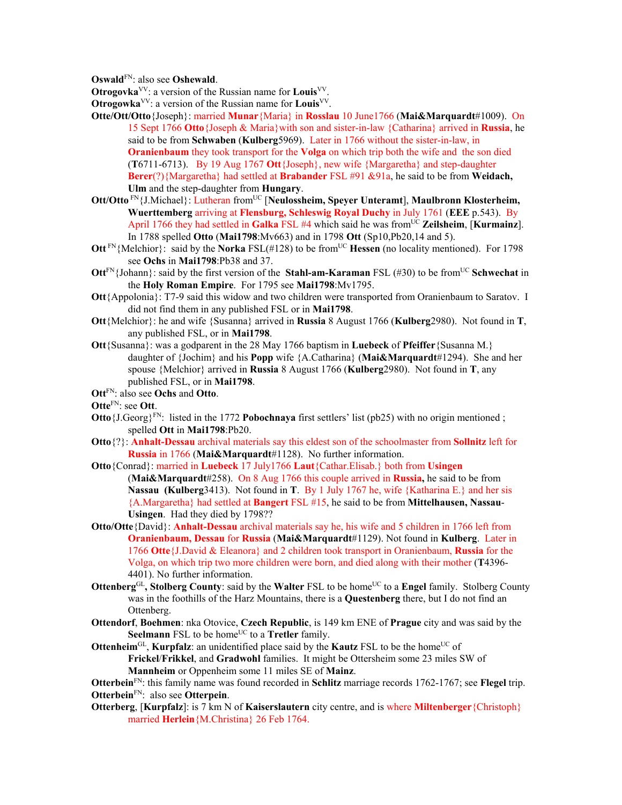**Oswald**FN: also see **Oshewald**.

**Otrogovka**VV: a version of the Russian name for **Louis**VV.

**Otrogowka**VV: a version of the Russian name for **Louis**VV.

- **Otte/Ott/Otto**{Joseph}: married **Munar**{Maria} in **Rosslau** 10 June1766 (**Mai&Marquardt**#1009). On 15 Sept 1766 **Otto**{Joseph & Maria}with son and sister-in-law {Catharina} arrived in **Russia**, he said to be from **Schwaben** (**Kulberg**5969). Later in 1766 without the sister-in-law, in **Oranienbaum** they took transport for the **Volga** on which trip both the wife and the son died (**T**6711-6713). By 19 Aug 1767 **Ott**{Joseph}, new wife {Margaretha} and step-daughter **Berer**(?){Margaretha} had settled at **Brabander** FSL #91 &91a, he said to be from **Weidach, Ulm** and the step-daughter from **Hungary**.
- **Ott/Otto** FN{J.Michael}: Lutheran from<sup>UC</sup> [Neulossheim, Speyer Unteramt], Maulbronn Klosterheim, **Wuerttemberg** arriving at **Flensburg, Schleswig Royal Duchy** in July 1761 (**EEE** p.543). By April 1766 they had settled in **Galka** FSL #4 which said he was from<sup>UC</sup> Zeilsheim, [Kurmainz]. In 1788 spelled **Otto** (**Mai1798**:Mv663) and in 1798 **Ott** (Sp10,Pb20,14 and 5).
- **Ott**<sup>FN</sup>{Melchior}: said by the **Norka** FSL(#128) to be from<sup>UC</sup> **Hessen** (no locality mentioned). For 1798 see **Ochs** in **Mai1798**:Pb38 and 37.
- **Ott**<sup>FN</sup>{Johann}: said by the first version of the **Stahl-am-Karaman** FSL (#30) to be from<sup>UC</sup> **Schwechat** in the **Holy Roman Empire**. For 1795 see **Mai1798**:Mv1795.
- **Ott**{Appolonia}: T7-9 said this widow and two children were transported from Oranienbaum to Saratov. I did not find them in any published FSL or in **Mai1798**.
- **Ott**{Melchior}: he and wife {Susanna} arrived in **Russia** 8 August 1766 (**Kulberg**2980). Not found in **T**, any published FSL, or in **Mai1798**.
- **Ott**{Susanna}: was a godparent in the 28 May 1766 baptism in **Luebeck** of **Pfeiffer**{Susanna M.} daughter of {Jochim} and his **Popp** wife {A.Catharina} (**Mai&Marquardt**#1294). She and her spouse {Melchior} arrived in **Russia** 8 August 1766 (**Kulberg**2980). Not found in **T**, any published FSL, or in **Mai1798**.
- **Ott**FN: also see **Ochs** and **Otto**.
- **Otte**FN: see **Ott**.
- **Otto**{J.Georg}<sup>FN</sup>: listed in the 1772 **Pobochnaya** first settlers' list (pb25) with no origin mentioned ; spelled **Ott** in **Mai1798**:Pb20.
- **Otto**{?}: **Anhalt-Dessau** archival materials say this eldest son of the schoolmaster from **Sollnitz** left for **Russia** in 1766 (**Mai&Marquardt**#1128). No further information.
- **Otto**{Conrad}: married in **Luebeck** 17 July1766 **Laut**{Cathar.Elisab.} both from **Usingen**  (**Mai&Marquardt**#258). On 8 Aug 1766 this couple arrived in **Russia,** he said to be from **Nassau (Kulberg**3413). Not found in **T**. By 1 July 1767 he, wife {Katharina E.} and her sis {A.Margaretha} had settled at **Bangert** FSL #15, he said to be from **Mittelhausen, Nassau**-**Usingen**. Had they died by 1798??
- **Otto/Otte**{David}: **Anhalt-Dessau** archival materials say he, his wife and 5 children in 1766 left from **Oranienbaum, Dessau** for **Russia** (**Mai&Marquardt**#1129). Not found in **Kulberg**. Later in 1766 **Otte**{J.David & Eleanora} and 2 children took transport in Oranienbaum, **Russia** for the Volga, on which trip two more children were born, and died along with their mother (**T**4396- 4401). No further information.
- **Ottenberg**<sup>GL</sup>, Stolberg County: said by the Walter FSL to be home<sup>UC</sup> to a Engel family. Stolberg County was in the foothills of the Harz Mountains, there is a **Questenberg** there, but I do not find an Ottenberg.
- **Ottendorf**, **Boehmen**: nka Otovice, **Czech Republic**, is 149 km ENE of **Prague** city and was said by the **Seelmann** FSL to be home<sup>UC</sup> to a **Tretler** family.

**Ottenheim**<sup>GL</sup>, **Kurpfalz**: an unidentified place said by the **Kautz** FSL to be the home<sup>UC</sup> of **Frickel**/**Frikkel**, and **Gradwohl** families. It might be Ottersheim some 23 miles SW of **Mannheim** or Oppenheim some 11 miles SE of **Mainz**.

**Otterbein**FN: this family name was found recorded in **Schlitz** marriage records 1762-1767; see **Flegel** trip. **Otterbein**FN: also see **Otterpein**.

**Otterberg**, [**Kurpfalz**]: is 7 km N of **Kaiserslautern** city centre, and is where **Miltenberger**{Christoph} married **Herlein**{M.Christina} 26 Feb 1764.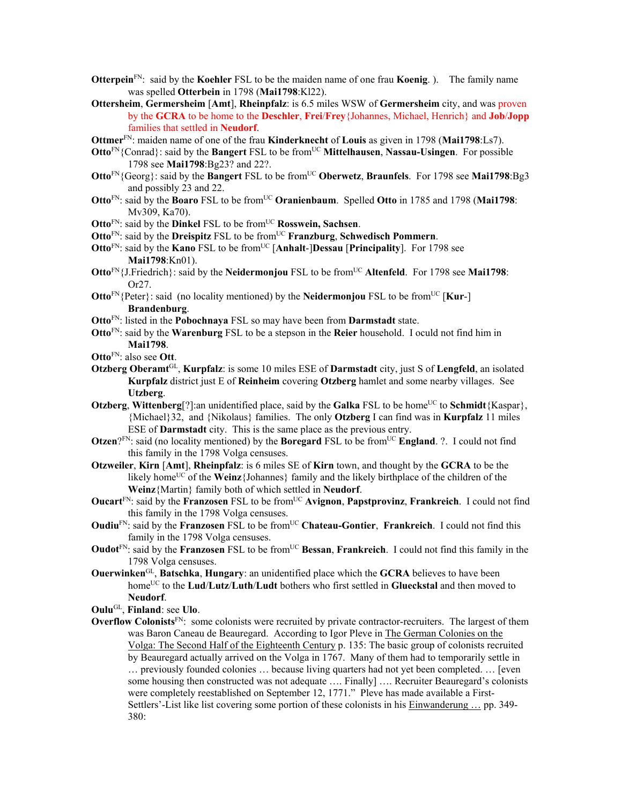- **Otterpein**FN: said by the **Koehler** FSL to be the maiden name of one frau **Koenig**. ). The family name was spelled **Otterbein** in 1798 (**Mai1798**:Kl22).
- **Ottersheim**, **Germersheim** [**Amt**], **Rheinpfalz**: is 6.5 miles WSW of **Germersheim** city, and was proven by the **GCRA** to be home to the **Deschler**, **Frei**/**Frey**{Johannes, Michael, Henrich} and **Job**/**Jopp** families that settled in **Neudorf**.
- **Ottmer**FN: maiden name of one of the frau **Kinderknecht** of **Louis** as given in 1798 (**Mai1798**:Ls7).
- **Otto**<sup>FN</sup>{Conrad}: said by the **Bangert** FSL to be from<sup>UC</sup> **Mittelhausen**, **Nassau-Usingen**. For possible 1798 see **Mai1798**:Bg23? and 22?.
- **Otto**<sup>FN</sup>{Georg}: said by the **Bangert** FSL to be from<sup>UC</sup> **Oberwetz**, **Braunfels**. For 1798 see **Mai1798**:Bg3 and possibly 23 and 22.
- **Otto**<sup>FN</sup>: said by the **Boaro** FSL to be from<sup>UC</sup> **Oranienbaum**. Spelled **Otto** in 1785 and 1798 (Mai1798: Mv309, Ka70).
- **Otto**<sup>FN</sup>: said by the **Dinkel** FSL to be from<sup>UC</sup> **Rosswein, Sachsen**.
- **Otto**<sup>FN</sup>: said by the **Dreispitz** FSL to be from<sup>UC</sup> **Franzburg**, **Schwedisch Pommern**.
- **Otto**<sup>FN</sup>: said by the **Kano** FSL to be from<sup>UC</sup> [Anhalt-]Dessau [Principality]. For 1798 see **Mai1798**:Kn01).
- **Otto**FN{J.Friedrich}: said by the **Neidermonjou** FSL to be fromUC **Altenfeld**. For 1798 see **Mai1798**: Or27.
- **Otto**<sup>FN</sup>{Peter}: said (no locality mentioned) by the **Neidermonjou** FSL to be from<sup>UC</sup> [**Kur-**] **Brandenburg**.
- **Otto**FN: listed in the **Pobochnaya** FSL so may have been from **Darmstadt** state.
- **Otto**FN: said by the **Warenburg** FSL to be a stepson in the **Reier** household. I oculd not find him in **Mai1798**.
- **Otto**FN: also see **Ott**.
- **Otzberg Oberamt**GL, **Kurpfalz**: is some 10 miles ESE of **Darmstadt** city, just S of **Lengfeld**, an isolated **Kurpfalz** district just E of **Reinheim** covering **Otzberg** hamlet and some nearby villages. See **Utzberg**.
- **Otzberg, Wittenberg**[?]:an unidentified place, said by the **Galka** FSL to be home<sup>UC</sup> to **Schmidt** $\{K$ aspar $\}$ , {Michael}32, and {Nikolaus} families. The only **Otzberg** I can find was in **Kurpfalz** 11 miles ESE of **Darmstadt** city. This is the same place as the previous entry.
- **Otzen**? $F_N$ : said (no locality mentioned) by the **Boregard** FSL to be from<sup>UC</sup> **England**. ?. I could not find this family in the 1798 Volga censuses.
- **Otzweiler**, **Kirn** [**Amt**], **Rheinpfalz**: is 6 miles SE of **Kirn** town, and thought by the **GCRA** to be the likely home<sup>UC</sup> of the **Weinz**{Johannes} family and the likely birthplace of the children of the **Weinz**{Martin} family both of which settled in **Neudorf**.
- **Oucart**FN: said by the **Franzosen** FSL to be fromUC **Avignon**, **Papstprovinz**, **Frankreich**. I could not find this family in the 1798 Volga censuses.
- **Oudiu<sup>FN</sup>:** said by the **Franzosen** FSL to be from<sup>UC</sup> **Chateau-Gontier**, **Frankreich**. I could not find this family in the 1798 Volga censuses.
- **Oudot**<sup>FN</sup>: said by the **Franzosen** FSL to be from<sup>UC</sup> **Bessan**, **Frankreich**. I could not find this family in the 1798 Volga censuses.
- **Ouerwinken**GL, **Batschka**, **Hungary**: an unidentified place which the **GCRA** believes to have been homeUC to the **Lud**/**Lutz**/**Luth**/**Ludt** bothers who first settled in **Glueckstal** and then moved to **Neudorf**.

**Oulu**GL, **Finland**: see **Ulo**.

**Overflow Colonists**FN: some colonists were recruited by private contractor-recruiters. The largest of them was Baron Caneau de Beauregard. According to Igor Pleve in The German Colonies on the Volga: The Second Half of the Eighteenth Century p. 135: The basic group of colonists recruited by Beauregard actually arrived on the Volga in 1767. Many of them had to temporarily settle in … previously founded colonies … because living quarters had not yet been completed. … [even some housing then constructed was not adequate …. Finally] …. Recruiter Beauregard's colonists were completely reestablished on September 12, 1771." Pleve has made available a First-Settlers'-List like list covering some portion of these colonists in his Einwanderung … pp. 349- 380: